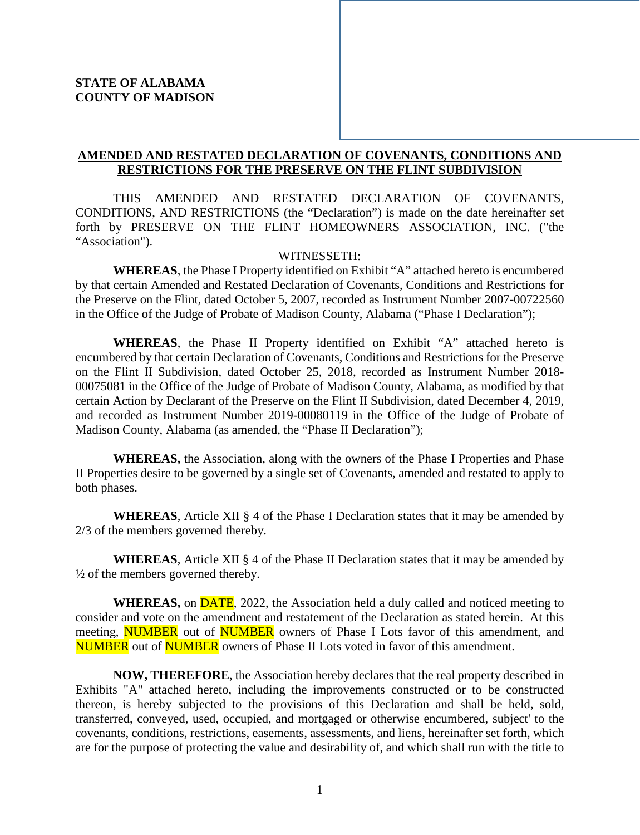# **AMENDED AND RESTATED DECLARATION OF COVENANTS, CONDITIONS AND RESTRICTIONS FOR THE PRESERVE ON THE FLINT SUBDIVISION**

THIS AMENDED AND RESTATED DECLARATION OF COVENANTS, CONDITIONS, AND RESTRICTIONS (the "Declaration") is made on the date hereinafter set forth by PRESERVE ON THE FLINT HOMEOWNERS ASSOCIATION, INC. ("the "Association").

#### WITNESSETH:

**WHEREAS**, the Phase I Property identified on Exhibit "A" attached hereto is encumbered by that certain Amended and Restated Declaration of Covenants, Conditions and Restrictions for the Preserve on the Flint, dated October 5, 2007, recorded as Instrument Number 2007-00722560 in the Office of the Judge of Probate of Madison County, Alabama ("Phase I Declaration");

**WHEREAS**, the Phase II Property identified on Exhibit "A" attached hereto is encumbered by that certain Declaration of Covenants, Conditions and Restrictions for the Preserve on the Flint II Subdivision, dated October 25, 2018, recorded as Instrument Number 2018- 00075081 in the Office of the Judge of Probate of Madison County, Alabama, as modified by that certain Action by Declarant of the Preserve on the Flint II Subdivision, dated December 4, 2019, and recorded as Instrument Number 2019-00080119 in the Office of the Judge of Probate of Madison County, Alabama (as amended, the "Phase II Declaration");

**WHEREAS,** the Association, along with the owners of the Phase I Properties and Phase II Properties desire to be governed by a single set of Covenants, amended and restated to apply to both phases.

**WHEREAS**, Article XII § 4 of the Phase I Declaration states that it may be amended by 2/3 of the members governed thereby.

**WHEREAS**, Article XII § 4 of the Phase II Declaration states that it may be amended by ½ of the members governed thereby.

**WHEREAS,** on DATE, 2022, the Association held a duly called and noticed meeting to consider and vote on the amendment and restatement of the Declaration as stated herein. At this meeting, **NUMBER** out of **NUMBER** owners of Phase I Lots favor of this amendment, and **NUMBER** out of **NUMBER** owners of Phase II Lots voted in favor of this amendment.

**NOW, THEREFORE**, the Association hereby declares that the real property described in Exhibits "A" attached hereto, including the improvements constructed or to be constructed thereon, is hereby subjected to the provisions of this Declaration and shall be held, sold, transferred, conveyed, used, occupied, and mortgaged or otherwise encumbered, subject' to the covenants, conditions, restrictions, easements, assessments, and liens, hereinafter set forth, which are for the purpose of protecting the value and desirability of, and which shall run with the title to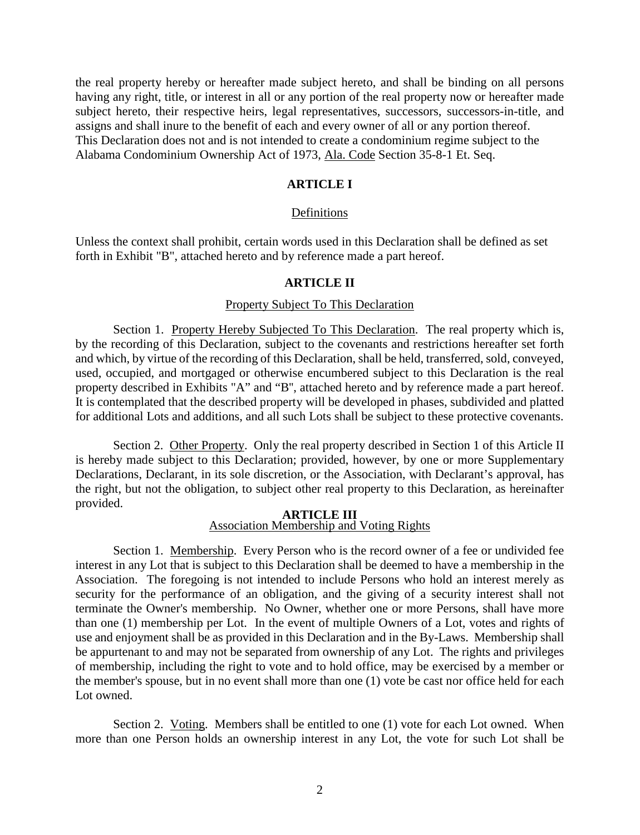the real property hereby or hereafter made subject hereto, and shall be binding on all persons having any right, title, or interest in all or any portion of the real property now or hereafter made subject hereto, their respective heirs, legal representatives, successors, successors-in-title, and assigns and shall inure to the benefit of each and every owner of all or any portion thereof. This Declaration does not and is not intended to create a condominium regime subject to the Alabama Condominium Ownership Act of 1973, Ala. Code Section 35-8-1 Et. Seq.

#### **ARTICLE I**

#### Definitions

Unless the context shall prohibit, certain words used in this Declaration shall be defined as set forth in Exhibit "B", attached hereto and by reference made a part hereof.

#### **ARTICLE II**

#### Property Subject To This Declaration

Section 1. Property Hereby Subjected To This Declaration. The real property which is, by the recording of this Declaration, subject to the covenants and restrictions hereafter set forth and which, by virtue of the recording of this Declaration, shall be held, transferred, sold, conveyed, used, occupied, and mortgaged or otherwise encumbered subject to this Declaration is the real property described in Exhibits "A" and "B'', attached hereto and by reference made a part hereof. It is contemplated that the described property will be developed in phases, subdivided and platted for additional Lots and additions, and all such Lots shall be subject to these protective covenants.

Section 2. Other Property. Only the real property described in Section 1 of this Article II is hereby made subject to this Declaration; provided, however, by one or more Supplementary Declarations, Declarant, in its sole discretion, or the Association, with Declarant's approval, has the right, but not the obligation, to subject other real property to this Declaration, as hereinafter provided.

#### **ARTICLE III** Association Membership and Voting Rights

Section 1. Membership. Every Person who is the record owner of a fee or undivided fee interest in any Lot that is subject to this Declaration shall be deemed to have a membership in the Association. The foregoing is not intended to include Persons who hold an interest merely as security for the performance of an obligation, and the giving of a security interest shall not terminate the Owner's membership. No Owner, whether one or more Persons, shall have more than one (1) membership per Lot. In the event of multiple Owners of a Lot, votes and rights of use and enjoyment shall be as provided in this Declaration and in the By-Laws. Membership shall be appurtenant to and may not be separated from ownership of any Lot. The rights and privileges of membership, including the right to vote and to hold office, may be exercised by a member or the member's spouse, but in no event shall more than one (1) vote be cast nor office held for each Lot owned.

Section 2. Voting. Members shall be entitled to one (1) vote for each Lot owned. When more than one Person holds an ownership interest in any Lot, the vote for such Lot shall be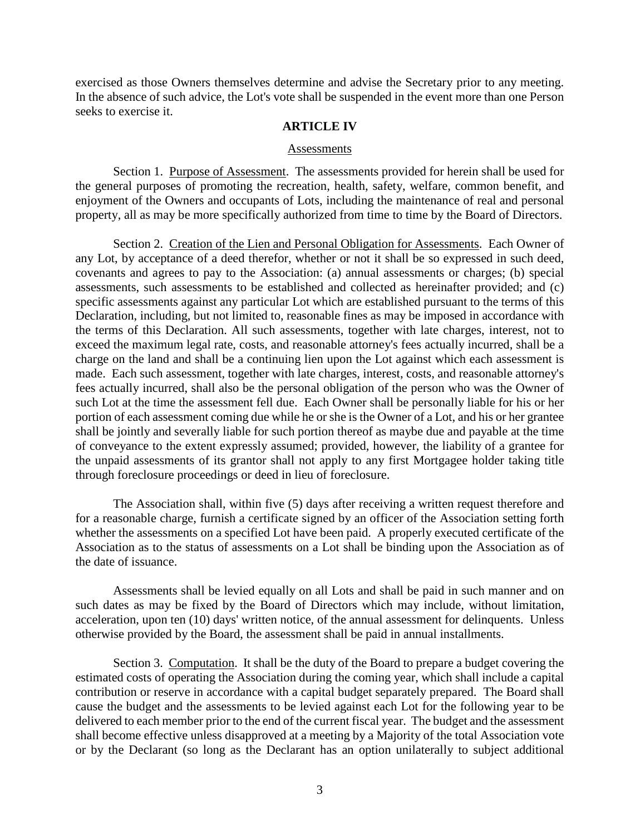exercised as those Owners themselves determine and advise the Secretary prior to any meeting. In the absence of such advice, the Lot's vote shall be suspended in the event more than one Person seeks to exercise it.

#### **ARTICLE IV**

#### Assessments

Section 1. Purpose of Assessment. The assessments provided for herein shall be used for the general purposes of promoting the recreation, health, safety, welfare, common benefit, and enjoyment of the Owners and occupants of Lots, including the maintenance of real and personal property, all as may be more specifically authorized from time to time by the Board of Directors.

Section 2. Creation of the Lien and Personal Obligation for Assessments. Each Owner of any Lot, by acceptance of a deed therefor, whether or not it shall be so expressed in such deed, covenants and agrees to pay to the Association: (a) annual assessments or charges; (b) special assessments, such assessments to be established and collected as hereinafter provided; and (c) specific assessments against any particular Lot which are established pursuant to the terms of this Declaration, including, but not limited to, reasonable fines as may be imposed in accordance with the terms of this Declaration. All such assessments, together with late charges, interest, not to exceed the maximum legal rate, costs, and reasonable attorney's fees actually incurred, shall be a charge on the land and shall be a continuing lien upon the Lot against which each assessment is made. Each such assessment, together with late charges, interest, costs, and reasonable attorney's fees actually incurred, shall also be the personal obligation of the person who was the Owner of such Lot at the time the assessment fell due. Each Owner shall be personally liable for his or her portion of each assessment coming due while he or she is the Owner of a Lot, and his or her grantee shall be jointly and severally liable for such portion thereof as maybe due and payable at the time of conveyance to the extent expressly assumed; provided, however, the liability of a grantee for the unpaid assessments of its grantor shall not apply to any first Mortgagee holder taking title through foreclosure proceedings or deed in lieu of foreclosure.

The Association shall, within five (5) days after receiving a written request therefore and for a reasonable charge, furnish a certificate signed by an officer of the Association setting forth whether the assessments on a specified Lot have been paid. A properly executed certificate of the Association as to the status of assessments on a Lot shall be binding upon the Association as of the date of issuance.

Assessments shall be levied equally on all Lots and shall be paid in such manner and on such dates as may be fixed by the Board of Directors which may include, without limitation, acceleration, upon ten (10) days' written notice, of the annual assessment for delinquents. Unless otherwise provided by the Board, the assessment shall be paid in annual installments.

Section 3. Computation. It shall be the duty of the Board to prepare a budget covering the estimated costs of operating the Association during the coming year, which shall include a capital contribution or reserve in accordance with a capital budget separately prepared. The Board shall cause the budget and the assessments to be levied against each Lot for the following year to be delivered to each member prior to the end of the current fiscal year. The budget and the assessment shall become effective unless disapproved at a meeting by a Majority of the total Association vote or by the Declarant (so long as the Declarant has an option unilaterally to subject additional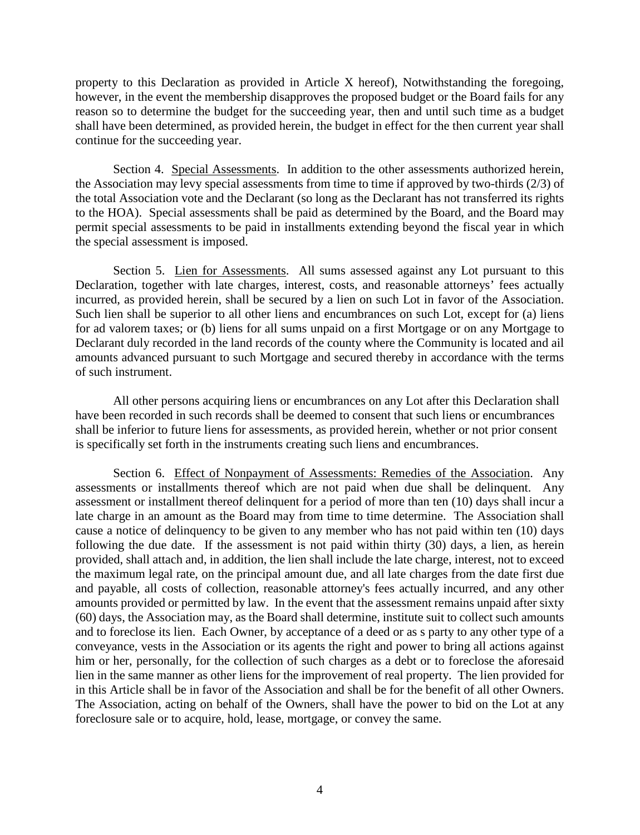property to this Declaration as provided in Article X hereof), Notwithstanding the foregoing, however, in the event the membership disapproves the proposed budget or the Board fails for any reason so to determine the budget for the succeeding year, then and until such time as a budget shall have been determined, as provided herein, the budget in effect for the then current year shall continue for the succeeding year.

Section 4. Special Assessments. In addition to the other assessments authorized herein, the Association may levy special assessments from time to time if approved by two-thirds (2/3) of the total Association vote and the Declarant (so long as the Declarant has not transferred its rights to the HOA). Special assessments shall be paid as determined by the Board, and the Board may permit special assessments to be paid in installments extending beyond the fiscal year in which the special assessment is imposed.

Section 5. Lien for Assessments. All sums assessed against any Lot pursuant to this Declaration, together with late charges, interest, costs, and reasonable attorneys' fees actually incurred, as provided herein, shall be secured by a lien on such Lot in favor of the Association. Such lien shall be superior to all other liens and encumbrances on such Lot, except for (a) liens for ad valorem taxes; or (b) liens for all sums unpaid on a first Mortgage or on any Mortgage to Declarant duly recorded in the land records of the county where the Community is located and ail amounts advanced pursuant to such Mortgage and secured thereby in accordance with the terms of such instrument.

All other persons acquiring liens or encumbrances on any Lot after this Declaration shall have been recorded in such records shall be deemed to consent that such liens or encumbrances shall be inferior to future liens for assessments, as provided herein, whether or not prior consent is specifically set forth in the instruments creating such liens and encumbrances.

Section 6. Effect of Nonpayment of Assessments: Remedies of the Association. Any assessments or installments thereof which are not paid when due shall be delinquent. Any assessment or installment thereof delinquent for a period of more than ten (10) days shall incur a late charge in an amount as the Board may from time to time determine. The Association shall cause a notice of delinquency to be given to any member who has not paid within ten (10) days following the due date. If the assessment is not paid within thirty (30) days, a lien, as herein provided, shall attach and, in addition, the lien shall include the late charge, interest, not to exceed the maximum legal rate, on the principal amount due, and all late charges from the date first due and payable, all costs of collection, reasonable attorney's fees actually incurred, and any other amounts provided or permitted by law. In the event that the assessment remains unpaid after sixty (60) days, the Association may, as the Board shall determine, institute suit to collect such amounts and to foreclose its lien. Each Owner, by acceptance of a deed or as s party to any other type of a conveyance, vests in the Association or its agents the right and power to bring all actions against him or her, personally, for the collection of such charges as a debt or to foreclose the aforesaid lien in the same manner as other liens for the improvement of real property. The lien provided for in this Article shall be in favor of the Association and shall be for the benefit of all other Owners. The Association, acting on behalf of the Owners, shall have the power to bid on the Lot at any foreclosure sale or to acquire, hold, lease, mortgage, or convey the same.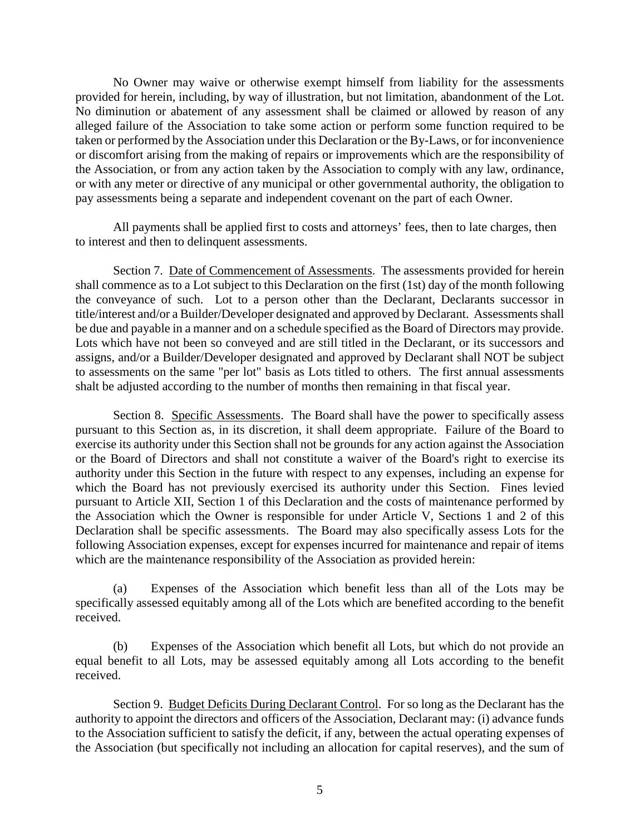No Owner may waive or otherwise exempt himself from liability for the assessments provided for herein, including, by way of illustration, but not limitation, abandonment of the Lot. No diminution or abatement of any assessment shall be claimed or allowed by reason of any alleged failure of the Association to take some action or perform some function required to be taken or performed by the Association under this Declaration or the By-Laws, or for inconvenience or discomfort arising from the making of repairs or improvements which are the responsibility of the Association, or from any action taken by the Association to comply with any law, ordinance, or with any meter or directive of any municipal or other governmental authority, the obligation to pay assessments being a separate and independent covenant on the part of each Owner.

All payments shall be applied first to costs and attorneys' fees, then to late charges, then to interest and then to delinquent assessments.

Section 7. Date of Commencement of Assessments. The assessments provided for herein shall commence as to a Lot subject to this Declaration on the first (1st) day of the month following the conveyance of such. Lot to a person other than the Declarant, Declarants successor in title/interest and/or a Builder/Developer designated and approved by Declarant. Assessments shall be due and payable in a manner and on a schedule specified as the Board of Directors may provide. Lots which have not been so conveyed and are still titled in the Declarant, or its successors and assigns, and/or a Builder/Developer designated and approved by Declarant shall NOT be subject to assessments on the same "per lot" basis as Lots titled to others. The first annual assessments shalt be adjusted according to the number of months then remaining in that fiscal year.

Section 8. Specific Assessments. The Board shall have the power to specifically assess pursuant to this Section as, in its discretion, it shall deem appropriate. Failure of the Board to exercise its authority under this Section shall not be grounds for any action against the Association or the Board of Directors and shall not constitute a waiver of the Board's right to exercise its authority under this Section in the future with respect to any expenses, including an expense for which the Board has not previously exercised its authority under this Section. Fines levied pursuant to Article XII, Section 1 of this Declaration and the costs of maintenance performed by the Association which the Owner is responsible for under Article V, Sections 1 and 2 of this Declaration shall be specific assessments. The Board may also specifically assess Lots for the following Association expenses, except for expenses incurred for maintenance and repair of items which are the maintenance responsibility of the Association as provided herein:

(a) Expenses of the Association which benefit less than all of the Lots may be specifically assessed equitably among all of the Lots which are benefited according to the benefit received.

(b) Expenses of the Association which benefit all Lots, but which do not provide an equal benefit to all Lots, may be assessed equitably among all Lots according to the benefit received.

Section 9. Budget Deficits During Declarant Control. For so long as the Declarant has the authority to appoint the directors and officers of the Association, Declarant may: (i) advance funds to the Association sufficient to satisfy the deficit, if any, between the actual operating expenses of the Association (but specifically not including an allocation for capital reserves), and the sum of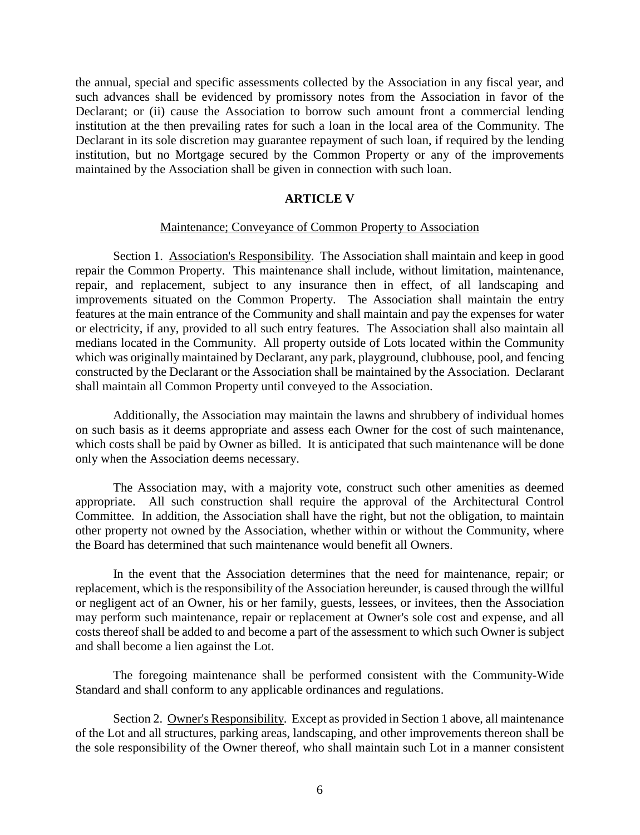the annual, special and specific assessments collected by the Association in any fiscal year, and such advances shall be evidenced by promissory notes from the Association in favor of the Declarant; or (ii) cause the Association to borrow such amount front a commercial lending institution at the then prevailing rates for such a loan in the local area of the Community. The Declarant in its sole discretion may guarantee repayment of such loan, if required by the lending institution, but no Mortgage secured by the Common Property or any of the improvements maintained by the Association shall be given in connection with such loan.

#### **ARTICLE V**

#### Maintenance; Conveyance of Common Property to Association

Section 1. Association's Responsibility. The Association shall maintain and keep in good repair the Common Property. This maintenance shall include, without limitation, maintenance, repair, and replacement, subject to any insurance then in effect, of all landscaping and improvements situated on the Common Property. The Association shall maintain the entry features at the main entrance of the Community and shall maintain and pay the expenses for water or electricity, if any, provided to all such entry features. The Association shall also maintain all medians located in the Community. All property outside of Lots located within the Community which was originally maintained by Declarant, any park, playground, clubhouse, pool, and fencing constructed by the Declarant or the Association shall be maintained by the Association. Declarant shall maintain all Common Property until conveyed to the Association.

Additionally, the Association may maintain the lawns and shrubbery of individual homes on such basis as it deems appropriate and assess each Owner for the cost of such maintenance, which costs shall be paid by Owner as billed. It is anticipated that such maintenance will be done only when the Association deems necessary.

The Association may, with a majority vote, construct such other amenities as deemed appropriate. All such construction shall require the approval of the Architectural Control Committee. In addition, the Association shall have the right, but not the obligation, to maintain other property not owned by the Association, whether within or without the Community, where the Board has determined that such maintenance would benefit all Owners.

In the event that the Association determines that the need for maintenance, repair; or replacement, which is the responsibility of the Association hereunder, is caused through the willful or negligent act of an Owner, his or her family, guests, lessees, or invitees, then the Association may perform such maintenance, repair or replacement at Owner's sole cost and expense, and all costs thereof shall be added to and become a part of the assessment to which such Owner is subject and shall become a lien against the Lot.

The foregoing maintenance shall be performed consistent with the Community-Wide Standard and shall conform to any applicable ordinances and regulations.

Section 2. Owner's Responsibility. Except as provided in Section 1 above, all maintenance of the Lot and all structures, parking areas, landscaping, and other improvements thereon shall be the sole responsibility of the Owner thereof, who shall maintain such Lot in a manner consistent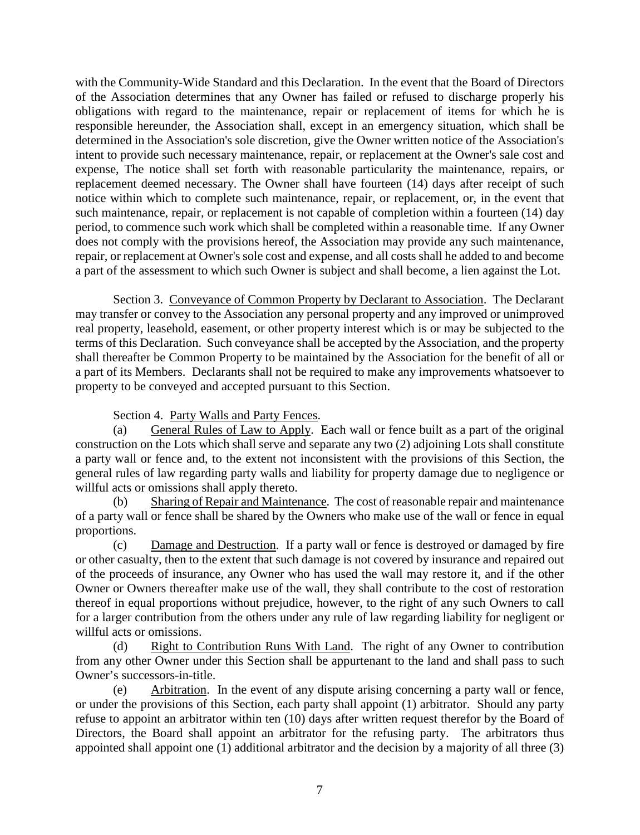with the Community-Wide Standard and this Declaration. In the event that the Board of Directors of the Association determines that any Owner has failed or refused to discharge properly his obligations with regard to the maintenance, repair or replacement of items for which he is responsible hereunder, the Association shall, except in an emergency situation, which shall be determined in the Association's sole discretion, give the Owner written notice of the Association's intent to provide such necessary maintenance, repair, or replacement at the Owner's sale cost and expense, The notice shall set forth with reasonable particularity the maintenance, repairs, or replacement deemed necessary. The Owner shall have fourteen (14) days after receipt of such notice within which to complete such maintenance, repair, or replacement, or, in the event that such maintenance, repair, or replacement is not capable of completion within a fourteen (14) day period, to commence such work which shall be completed within a reasonable time. If any Owner does not comply with the provisions hereof, the Association may provide any such maintenance, repair, or replacement at Owner's sole cost and expense, and all costs shall he added to and become a part of the assessment to which such Owner is subject and shall become, a lien against the Lot.

Section 3. Conveyance of Common Property by Declarant to Association. The Declarant may transfer or convey to the Association any personal property and any improved or unimproved real property, leasehold, easement, or other property interest which is or may be subjected to the terms of this Declaration. Such conveyance shall be accepted by the Association, and the property shall thereafter be Common Property to be maintained by the Association for the benefit of all or a part of its Members. Declarants shall not be required to make any improvements whatsoever to property to be conveyed and accepted pursuant to this Section.

Section 4. Party Walls and Party Fences.

(a) General Rules of Law to Apply. Each wall or fence built as a part of the original construction on the Lots which shall serve and separate any two (2) adjoining Lots shall constitute a party wall or fence and, to the extent not inconsistent with the provisions of this Section, the general rules of law regarding party walls and liability for property damage due to negligence or willful acts or omissions shall apply thereto.

(b) Sharing of Repair and Maintenance. The cost of reasonable repair and maintenance of a party wall or fence shall be shared by the Owners who make use of the wall or fence in equal proportions.

(c) Damage and Destruction. If a party wall or fence is destroyed or damaged by fire or other casualty, then to the extent that such damage is not covered by insurance and repaired out of the proceeds of insurance, any Owner who has used the wall may restore it, and if the other Owner or Owners thereafter make use of the wall, they shall contribute to the cost of restoration thereof in equal proportions without prejudice, however, to the right of any such Owners to call for a larger contribution from the others under any rule of law regarding liability for negligent or willful acts or omissions.

(d) Right to Contribution Runs With Land. The right of any Owner to contribution from any other Owner under this Section shall be appurtenant to the land and shall pass to such Owner's successors-in-title.

(e) Arbitration. In the event of any dispute arising concerning a party wall or fence, or under the provisions of this Section, each party shall appoint (1) arbitrator. Should any party refuse to appoint an arbitrator within ten (10) days after written request therefor by the Board of Directors, the Board shall appoint an arbitrator for the refusing party. The arbitrators thus appointed shall appoint one (1) additional arbitrator and the decision by a majority of all three (3)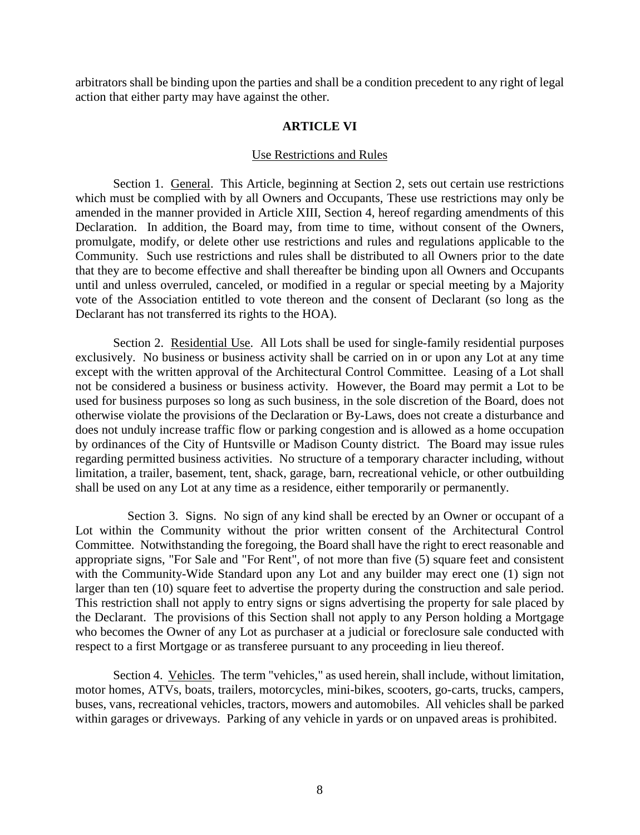arbitrators shall be binding upon the parties and shall be a condition precedent to any right of legal action that either party may have against the other.

# **ARTICLE VI**

#### Use Restrictions and Rules

Section 1. General. This Article, beginning at Section 2, sets out certain use restrictions which must be complied with by all Owners and Occupants, These use restrictions may only be amended in the manner provided in Article XIII, Section 4, hereof regarding amendments of this Declaration. In addition, the Board may, from time to time, without consent of the Owners, promulgate, modify, or delete other use restrictions and rules and regulations applicable to the Community. Such use restrictions and rules shall be distributed to all Owners prior to the date that they are to become effective and shall thereafter be binding upon all Owners and Occupants until and unless overruled, canceled, or modified in a regular or special meeting by a Majority vote of the Association entitled to vote thereon and the consent of Declarant (so long as the Declarant has not transferred its rights to the HOA).

Section 2. Residential Use. All Lots shall be used for single-family residential purposes exclusively. No business or business activity shall be carried on in or upon any Lot at any time except with the written approval of the Architectural Control Committee. Leasing of a Lot shall not be considered a business or business activity. However, the Board may permit a Lot to be used for business purposes so long as such business, in the sole discretion of the Board, does not otherwise violate the provisions of the Declaration or By-Laws, does not create a disturbance and does not unduly increase traffic flow or parking congestion and is allowed as a home occupation by ordinances of the City of Huntsville or Madison County district. The Board may issue rules regarding permitted business activities. No structure of a temporary character including, without limitation, a trailer, basement, tent, shack, garage, barn, recreational vehicle, or other outbuilding shall be used on any Lot at any time as a residence, either temporarily or permanently.

 Section 3. Signs. No sign of any kind shall be erected by an Owner or occupant of a Lot within the Community without the prior written consent of the Architectural Control Committee. Notwithstanding the foregoing, the Board shall have the right to erect reasonable and appropriate signs, "For Sale and "For Rent", of not more than five (5) square feet and consistent with the Community-Wide Standard upon any Lot and any builder may erect one (1) sign not larger than ten (10) square feet to advertise the property during the construction and sale period. This restriction shall not apply to entry signs or signs advertising the property for sale placed by the Declarant. The provisions of this Section shall not apply to any Person holding a Mortgage who becomes the Owner of any Lot as purchaser at a judicial or foreclosure sale conducted with respect to a first Mortgage or as transferee pursuant to any proceeding in lieu thereof.

Section 4. Vehicles. The term "vehicles," as used herein, shall include, without limitation, motor homes, ATVs, boats, trailers, motorcycles, mini-bikes, scooters, go-carts, trucks, campers, buses, vans, recreational vehicles, tractors, mowers and automobiles. All vehicles shall be parked within garages or driveways. Parking of any vehicle in yards or on unpaved areas is prohibited.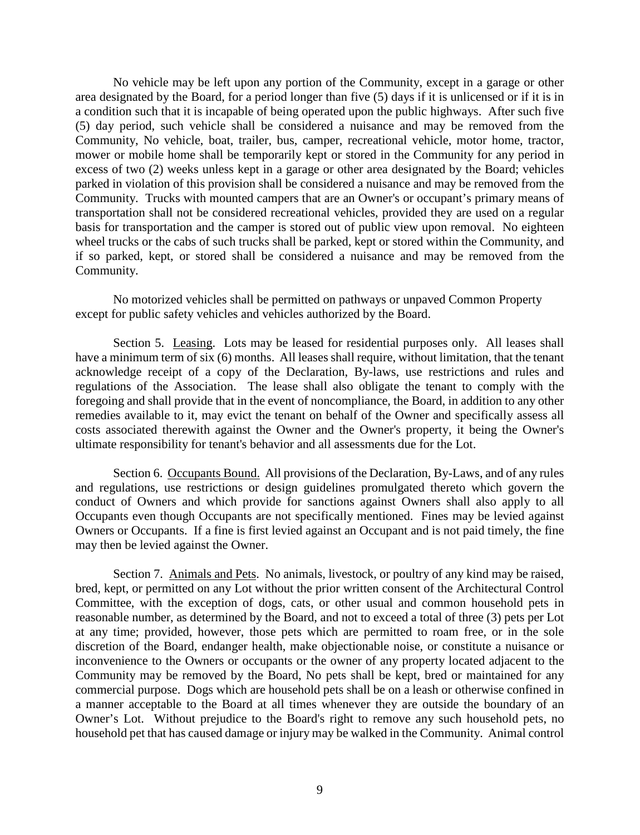No vehicle may be left upon any portion of the Community, except in a garage or other area designated by the Board, for a period longer than five (5) days if it is unlicensed or if it is in a condition such that it is incapable of being operated upon the public highways. After such five (5) day period, such vehicle shall be considered a nuisance and may be removed from the Community, No vehicle, boat, trailer, bus, camper, recreational vehicle, motor home, tractor, mower or mobile home shall be temporarily kept or stored in the Community for any period in excess of two (2) weeks unless kept in a garage or other area designated by the Board; vehicles parked in violation of this provision shall be considered a nuisance and may be removed from the Community. Trucks with mounted campers that are an Owner's or occupant's primary means of transportation shall not be considered recreational vehicles, provided they are used on a regular basis for transportation and the camper is stored out of public view upon removal. No eighteen wheel trucks or the cabs of such trucks shall be parked, kept or stored within the Community, and if so parked, kept, or stored shall be considered a nuisance and may be removed from the Community.

No motorized vehicles shall be permitted on pathways or unpaved Common Property except for public safety vehicles and vehicles authorized by the Board.

Section 5. Leasing. Lots may be leased for residential purposes only. All leases shall have a minimum term of six (6) months. All leases shall require, without limitation, that the tenant acknowledge receipt of a copy of the Declaration, By-laws, use restrictions and rules and regulations of the Association. The lease shall also obligate the tenant to comply with the foregoing and shall provide that in the event of noncompliance, the Board, in addition to any other remedies available to it, may evict the tenant on behalf of the Owner and specifically assess all costs associated therewith against the Owner and the Owner's property, it being the Owner's ultimate responsibility for tenant's behavior and all assessments due for the Lot.

Section 6. Occupants Bound. All provisions of the Declaration, By-Laws, and of any rules and regulations, use restrictions or design guidelines promulgated thereto which govern the conduct of Owners and which provide for sanctions against Owners shall also apply to all Occupants even though Occupants are not specifically mentioned. Fines may be levied against Owners or Occupants. If a fine is first levied against an Occupant and is not paid timely, the fine may then be levied against the Owner.

Section 7. Animals and Pets. No animals, livestock, or poultry of any kind may be raised, bred, kept, or permitted on any Lot without the prior written consent of the Architectural Control Committee, with the exception of dogs, cats, or other usual and common household pets in reasonable number, as determined by the Board, and not to exceed a total of three (3) pets per Lot at any time; provided, however, those pets which are permitted to roam free, or in the sole discretion of the Board, endanger health, make objectionable noise, or constitute a nuisance or inconvenience to the Owners or occupants or the owner of any property located adjacent to the Community may be removed by the Board, No pets shall be kept, bred or maintained for any commercial purpose. Dogs which are household pets shall be on a leash or otherwise confined in a manner acceptable to the Board at all times whenever they are outside the boundary of an Owner's Lot. Without prejudice to the Board's right to remove any such household pets, no household pet that has caused damage or injury may be walked in the Community. Animal control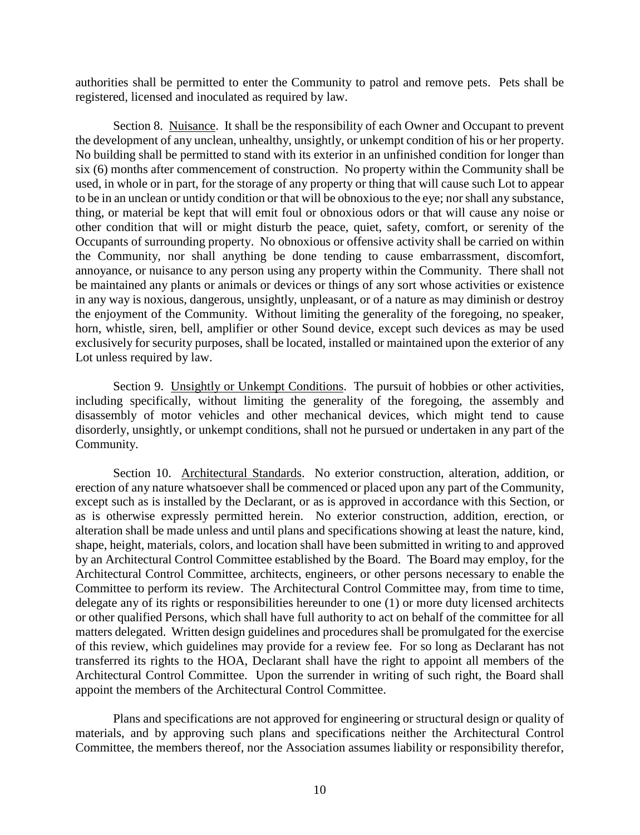authorities shall be permitted to enter the Community to patrol and remove pets. Pets shall be registered, licensed and inoculated as required by law.

Section 8. Nuisance. It shall be the responsibility of each Owner and Occupant to prevent the development of any unclean, unhealthy, unsightly, or unkempt condition of his or her property. No building shall be permitted to stand with its exterior in an unfinished condition for longer than six (6) months after commencement of construction. No property within the Community shall be used, in whole or in part, for the storage of any property or thing that will cause such Lot to appear to be in an unclean or untidy condition or that will be obnoxious to the eye; nor shall any substance, thing, or material be kept that will emit foul or obnoxious odors or that will cause any noise or other condition that will or might disturb the peace, quiet, safety, comfort, or serenity of the Occupants of surrounding property. No obnoxious or offensive activity shall be carried on within the Community, nor shall anything be done tending to cause embarrassment, discomfort, annoyance, or nuisance to any person using any property within the Community. There shall not be maintained any plants or animals or devices or things of any sort whose activities or existence in any way is noxious, dangerous, unsightly, unpleasant, or of a nature as may diminish or destroy the enjoyment of the Community. Without limiting the generality of the foregoing, no speaker, horn, whistle, siren, bell, amplifier or other Sound device, except such devices as may be used exclusively for security purposes, shall be located, installed or maintained upon the exterior of any Lot unless required by law.

Section 9. Unsightly or Unkempt Conditions. The pursuit of hobbies or other activities, including specifically, without limiting the generality of the foregoing, the assembly and disassembly of motor vehicles and other mechanical devices, which might tend to cause disorderly, unsightly, or unkempt conditions, shall not he pursued or undertaken in any part of the Community.

Section 10. Architectural Standards. No exterior construction, alteration, addition, or erection of any nature whatsoever shall be commenced or placed upon any part of the Community, except such as is installed by the Declarant, or as is approved in accordance with this Section, or as is otherwise expressly permitted herein. No exterior construction, addition, erection, or alteration shall be made unless and until plans and specifications showing at least the nature, kind, shape, height, materials, colors, and location shall have been submitted in writing to and approved by an Architectural Control Committee established by the Board. The Board may employ, for the Architectural Control Committee, architects, engineers, or other persons necessary to enable the Committee to perform its review. The Architectural Control Committee may, from time to time, delegate any of its rights or responsibilities hereunder to one (1) or more duty licensed architects or other qualified Persons, which shall have full authority to act on behalf of the committee for all matters delegated. Written design guidelines and procedures shall be promulgated for the exercise of this review, which guidelines may provide for a review fee. For so long as Declarant has not transferred its rights to the HOA, Declarant shall have the right to appoint all members of the Architectural Control Committee. Upon the surrender in writing of such right, the Board shall appoint the members of the Architectural Control Committee.

Plans and specifications are not approved for engineering or structural design or quality of materials, and by approving such plans and specifications neither the Architectural Control Committee, the members thereof, nor the Association assumes liability or responsibility therefor,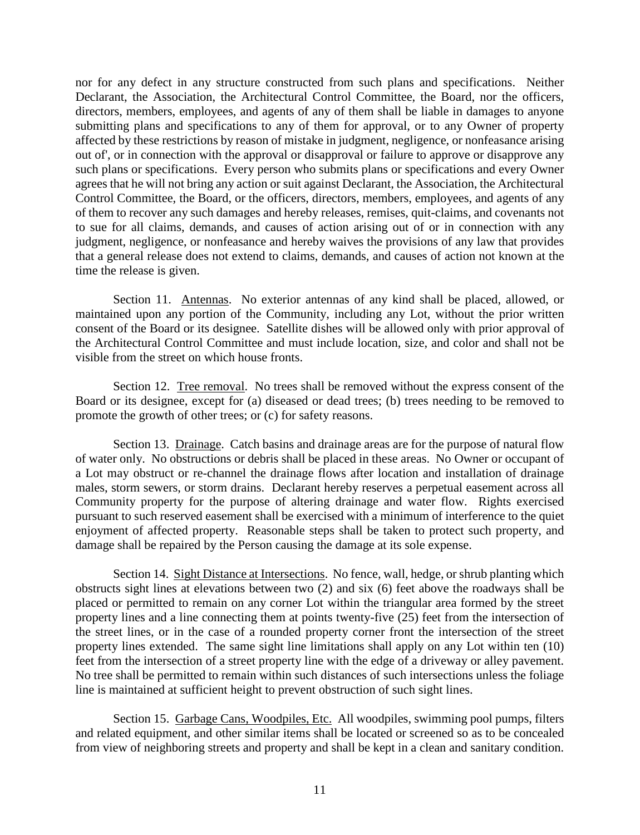nor for any defect in any structure constructed from such plans and specifications. Neither Declarant, the Association, the Architectural Control Committee, the Board, nor the officers, directors, members, employees, and agents of any of them shall be liable in damages to anyone submitting plans and specifications to any of them for approval, or to any Owner of property affected by these restrictions by reason of mistake in judgment, negligence, or nonfeasance arising out of', or in connection with the approval or disapproval or failure to approve or disapprove any such plans or specifications. Every person who submits plans or specifications and every Owner agrees that he will not bring any action or suit against Declarant, the Association, the Architectural Control Committee, the Board, or the officers, directors, members, employees, and agents of any of them to recover any such damages and hereby releases, remises, quit-claims, and covenants not to sue for all claims, demands, and causes of action arising out of or in connection with any judgment, negligence, or nonfeasance and hereby waives the provisions of any law that provides that a general release does not extend to claims, demands, and causes of action not known at the time the release is given.

Section 11. Antennas. No exterior antennas of any kind shall be placed, allowed, or maintained upon any portion of the Community, including any Lot, without the prior written consent of the Board or its designee. Satellite dishes will be allowed only with prior approval of the Architectural Control Committee and must include location, size, and color and shall not be visible from the street on which house fronts.

Section 12. Tree removal. No trees shall be removed without the express consent of the Board or its designee, except for (a) diseased or dead trees; (b) trees needing to be removed to promote the growth of other trees; or (c) for safety reasons.

Section 13. Drainage. Catch basins and drainage areas are for the purpose of natural flow of water only. No obstructions or debris shall be placed in these areas. No Owner or occupant of a Lot may obstruct or re-channel the drainage flows after location and installation of drainage males, storm sewers, or storm drains. Declarant hereby reserves a perpetual easement across all Community property for the purpose of altering drainage and water flow. Rights exercised pursuant to such reserved easement shall be exercised with a minimum of interference to the quiet enjoyment of affected property. Reasonable steps shall be taken to protect such property, and damage shall be repaired by the Person causing the damage at its sole expense.

Section 14. Sight Distance at Intersections. No fence, wall, hedge, or shrub planting which obstructs sight lines at elevations between two (2) and six (6) feet above the roadways shall be placed or permitted to remain on any corner Lot within the triangular area formed by the street property lines and a line connecting them at points twenty-five (25) feet from the intersection of the street lines, or in the case of a rounded property corner front the intersection of the street property lines extended. The same sight line limitations shall apply on any Lot within ten (10) feet from the intersection of a street property line with the edge of a driveway or alley pavement. No tree shall be permitted to remain within such distances of such intersections unless the foliage line is maintained at sufficient height to prevent obstruction of such sight lines.

Section 15. Garbage Cans, Woodpiles, Etc. All woodpiles, swimming pool pumps, filters and related equipment, and other similar items shall be located or screened so as to be concealed from view of neighboring streets and property and shall be kept in a clean and sanitary condition.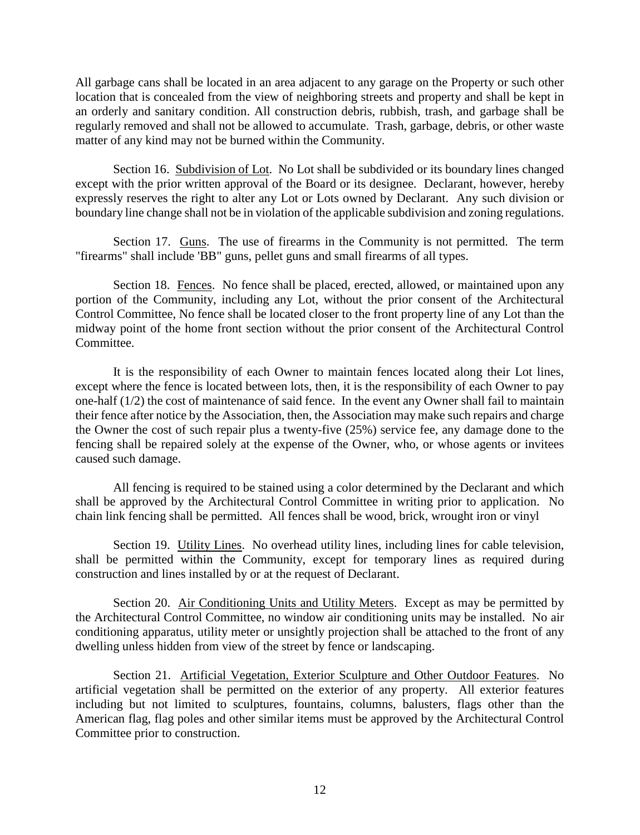All garbage cans shall be located in an area adjacent to any garage on the Property or such other location that is concealed from the view of neighboring streets and property and shall be kept in an orderly and sanitary condition. All construction debris, rubbish, trash, and garbage shall be regularly removed and shall not be allowed to accumulate. Trash, garbage, debris, or other waste matter of any kind may not be burned within the Community.

Section 16. Subdivision of Lot. No Lot shall be subdivided or its boundary lines changed except with the prior written approval of the Board or its designee. Declarant, however, hereby expressly reserves the right to alter any Lot or Lots owned by Declarant. Any such division or boundary line change shall not be in violation of the applicable subdivision and zoning regulations.

Section 17. Guns. The use of firearms in the Community is not permitted. The term "firearms" shall include 'BB" guns, pellet guns and small firearms of all types.

Section 18. Fences. No fence shall be placed, erected, allowed, or maintained upon any portion of the Community, including any Lot, without the prior consent of the Architectural Control Committee, No fence shall be located closer to the front property line of any Lot than the midway point of the home front section without the prior consent of the Architectural Control Committee.

It is the responsibility of each Owner to maintain fences located along their Lot lines, except where the fence is located between lots, then, it is the responsibility of each Owner to pay one-half (1/2) the cost of maintenance of said fence. In the event any Owner shall fail to maintain their fence after notice by the Association, then, the Association may make such repairs and charge the Owner the cost of such repair plus a twenty-five (25%) service fee, any damage done to the fencing shall be repaired solely at the expense of the Owner, who, or whose agents or invitees caused such damage.

All fencing is required to be stained using a color determined by the Declarant and which shall be approved by the Architectural Control Committee in writing prior to application. No chain link fencing shall be permitted. All fences shall be wood, brick, wrought iron or vinyl

Section 19. Utility Lines. No overhead utility lines, including lines for cable television, shall be permitted within the Community, except for temporary lines as required during construction and lines installed by or at the request of Declarant.

Section 20. Air Conditioning Units and Utility Meters. Except as may be permitted by the Architectural Control Committee, no window air conditioning units may be installed. No air conditioning apparatus, utility meter or unsightly projection shall be attached to the front of any dwelling unless hidden from view of the street by fence or landscaping.

Section 21. Artificial Vegetation, Exterior Sculpture and Other Outdoor Features. No artificial vegetation shall be permitted on the exterior of any property. All exterior features including but not limited to sculptures, fountains, columns, balusters, flags other than the American flag, flag poles and other similar items must be approved by the Architectural Control Committee prior to construction.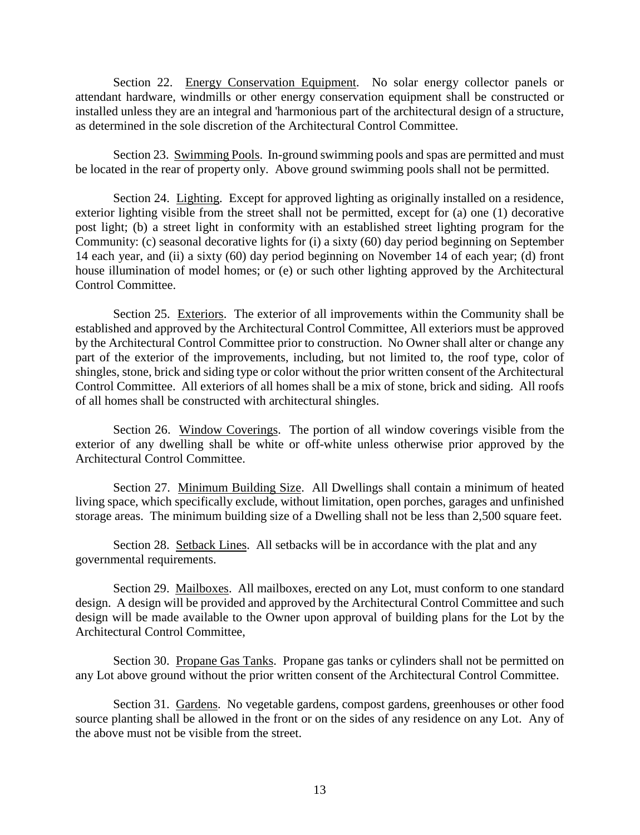Section 22. Energy Conservation Equipment. No solar energy collector panels or attendant hardware, windmills or other energy conservation equipment shall be constructed or installed unless they are an integral and 'harmonious part of the architectural design of a structure, as determined in the sole discretion of the Architectural Control Committee.

Section 23. Swimming Pools. In-ground swimming pools and spas are permitted and must be located in the rear of property only. Above ground swimming pools shall not be permitted.

Section 24. Lighting. Except for approved lighting as originally installed on a residence, exterior lighting visible from the street shall not be permitted, except for (a) one (1) decorative post light; (b) a street light in conformity with an established street lighting program for the Community: (c) seasonal decorative lights for (i) a sixty (60) day period beginning on September 14 each year, and (ii) a sixty (60) day period beginning on November 14 of each year; (d) front house illumination of model homes; or (e) or such other lighting approved by the Architectural Control Committee.

Section 25. Exteriors. The exterior of all improvements within the Community shall be established and approved by the Architectural Control Committee, All exteriors must be approved by the Architectural Control Committee prior to construction. No Owner shall alter or change any part of the exterior of the improvements, including, but not limited to, the roof type, color of shingles, stone, brick and siding type or color without the prior written consent of the Architectural Control Committee. All exteriors of all homes shall be a mix of stone, brick and siding. All roofs of all homes shall be constructed with architectural shingles.

Section 26. Window Coverings. The portion of all window coverings visible from the exterior of any dwelling shall be white or off-white unless otherwise prior approved by the Architectural Control Committee.

Section 27. Minimum Building Size. All Dwellings shall contain a minimum of heated living space, which specifically exclude, without limitation, open porches, garages and unfinished storage areas. The minimum building size of a Dwelling shall not be less than 2,500 square feet.

Section 28. Setback Lines. All setbacks will be in accordance with the plat and any governmental requirements.

Section 29. Mailboxes. All mailboxes, erected on any Lot, must conform to one standard design. A design will be provided and approved by the Architectural Control Committee and such design will be made available to the Owner upon approval of building plans for the Lot by the Architectural Control Committee,

Section 30. Propane Gas Tanks. Propane gas tanks or cylinders shall not be permitted on any Lot above ground without the prior written consent of the Architectural Control Committee.

Section 31. Gardens. No vegetable gardens, compost gardens, greenhouses or other food source planting shall be allowed in the front or on the sides of any residence on any Lot. Any of the above must not be visible from the street.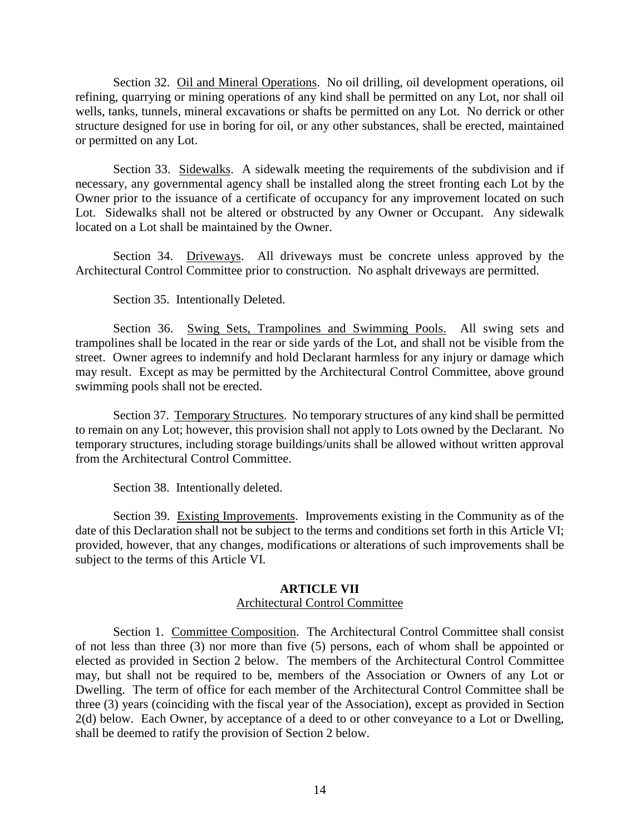Section 32. Oil and Mineral Operations. No oil drilling, oil development operations, oil refining, quarrying or mining operations of any kind shall be permitted on any Lot, nor shall oil wells, tanks, tunnels, mineral excavations or shafts be permitted on any Lot. No derrick or other structure designed for use in boring for oil, or any other substances, shall be erected, maintained or permitted on any Lot.

Section 33. Sidewalks. A sidewalk meeting the requirements of the subdivision and if necessary, any governmental agency shall be installed along the street fronting each Lot by the Owner prior to the issuance of a certificate of occupancy for any improvement located on such Lot. Sidewalks shall not be altered or obstructed by any Owner or Occupant. Any sidewalk located on a Lot shall be maintained by the Owner.

Section 34. Driveways. All driveways must be concrete unless approved by the Architectural Control Committee prior to construction. No asphalt driveways are permitted.

Section 35. Intentionally Deleted.

Section 36. Swing Sets, Trampolines and Swimming Pools. All swing sets and trampolines shall be located in the rear or side yards of the Lot, and shall not be visible from the street. Owner agrees to indemnify and hold Declarant harmless for any injury or damage which may result. Except as may be permitted by the Architectural Control Committee, above ground swimming pools shall not be erected.

Section 37. Temporary Structures. No temporary structures of any kind shall be permitted to remain on any Lot; however, this provision shall not apply to Lots owned by the Declarant. No temporary structures, including storage buildings/units shall be allowed without written approval from the Architectural Control Committee.

Section 38. Intentionally deleted.

Section 39. Existing Improvements. Improvements existing in the Community as of the date of this Declaration shall not be subject to the terms and conditions set forth in this Article VI; provided, however, that any changes, modifications or alterations of such improvements shall be subject to the terms of this Article VI.

# **ARTICLE VII**

# Architectural Control Committee

Section 1. Committee Composition. The Architectural Control Committee shall consist of not less than three (3) nor more than five (5) persons, each of whom shall be appointed or elected as provided in Section 2 below. The members of the Architectural Control Committee may, but shall not be required to be, members of the Association or Owners of any Lot or Dwelling. The term of office for each member of the Architectural Control Committee shall be three (3) years (coinciding with the fiscal year of the Association), except as provided in Section 2(d) below. Each Owner, by acceptance of a deed to or other conveyance to a Lot or Dwelling, shall be deemed to ratify the provision of Section 2 below.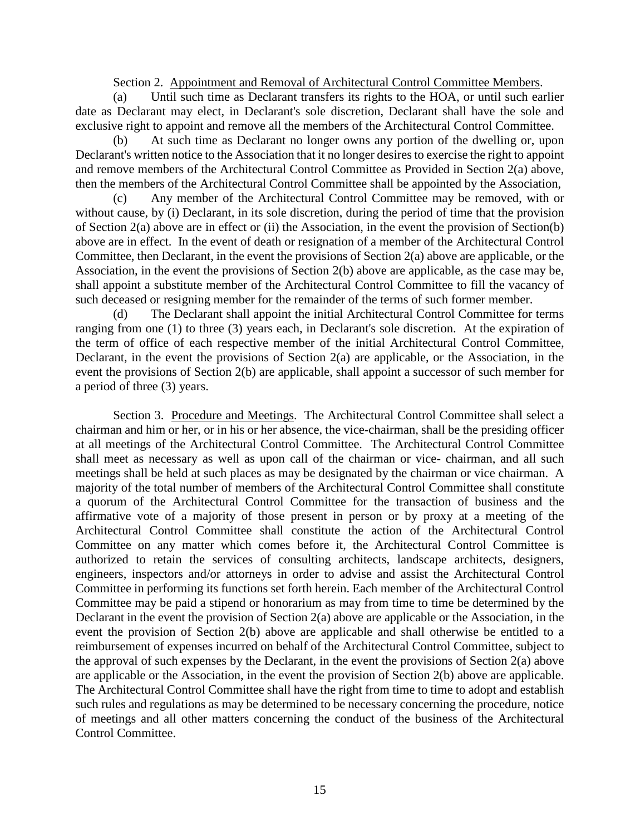Section 2. Appointment and Removal of Architectural Control Committee Members.

(a) Until such time as Declarant transfers its rights to the HOA, or until such earlier date as Declarant may elect, in Declarant's sole discretion, Declarant shall have the sole and exclusive right to appoint and remove all the members of the Architectural Control Committee.

(b) At such time as Declarant no longer owns any portion of the dwelling or, upon Declarant's written notice to the Association that it no longer desires to exercise the right to appoint and remove members of the Architectural Control Committee as Provided in Section 2(a) above, then the members of the Architectural Control Committee shall be appointed by the Association,

(c) Any member of the Architectural Control Committee may be removed, with or without cause, by (i) Declarant, in its sole discretion, during the period of time that the provision of Section 2(a) above are in effect or (ii) the Association, in the event the provision of Section(b) above are in effect. In the event of death or resignation of a member of the Architectural Control Committee, then Declarant, in the event the provisions of Section 2(a) above are applicable, or the Association, in the event the provisions of Section 2(b) above are applicable, as the case may be, shall appoint a substitute member of the Architectural Control Committee to fill the vacancy of such deceased or resigning member for the remainder of the terms of such former member.

(d) The Declarant shall appoint the initial Architectural Control Committee for terms ranging from one (1) to three (3) years each, in Declarant's sole discretion. At the expiration of the term of office of each respective member of the initial Architectural Control Committee, Declarant, in the event the provisions of Section 2(a) are applicable, or the Association, in the event the provisions of Section 2(b) are applicable, shall appoint a successor of such member for a period of three (3) years.

Section 3. Procedure and Meetings. The Architectural Control Committee shall select a chairman and him or her, or in his or her absence, the vice-chairman, shall be the presiding officer at all meetings of the Architectural Control Committee. The Architectural Control Committee shall meet as necessary as well as upon call of the chairman or vice- chairman, and all such meetings shall be held at such places as may be designated by the chairman or vice chairman. A majority of the total number of members of the Architectural Control Committee shall constitute a quorum of the Architectural Control Committee for the transaction of business and the affirmative vote of a majority of those present in person or by proxy at a meeting of the Architectural Control Committee shall constitute the action of the Architectural Control Committee on any matter which comes before it, the Architectural Control Committee is authorized to retain the services of consulting architects, landscape architects, designers, engineers, inspectors and/or attorneys in order to advise and assist the Architectural Control Committee in performing its functions set forth herein. Each member of the Architectural Control Committee may be paid a stipend or honorarium as may from time to time be determined by the Declarant in the event the provision of Section 2(a) above are applicable or the Association, in the event the provision of Section 2(b) above are applicable and shall otherwise be entitled to a reimbursement of expenses incurred on behalf of the Architectural Control Committee, subject to the approval of such expenses by the Declarant, in the event the provisions of Section 2(a) above are applicable or the Association, in the event the provision of Section 2(b) above are applicable. The Architectural Control Committee shall have the right from time to time to adopt and establish such rules and regulations as may be determined to be necessary concerning the procedure, notice of meetings and all other matters concerning the conduct of the business of the Architectural Control Committee.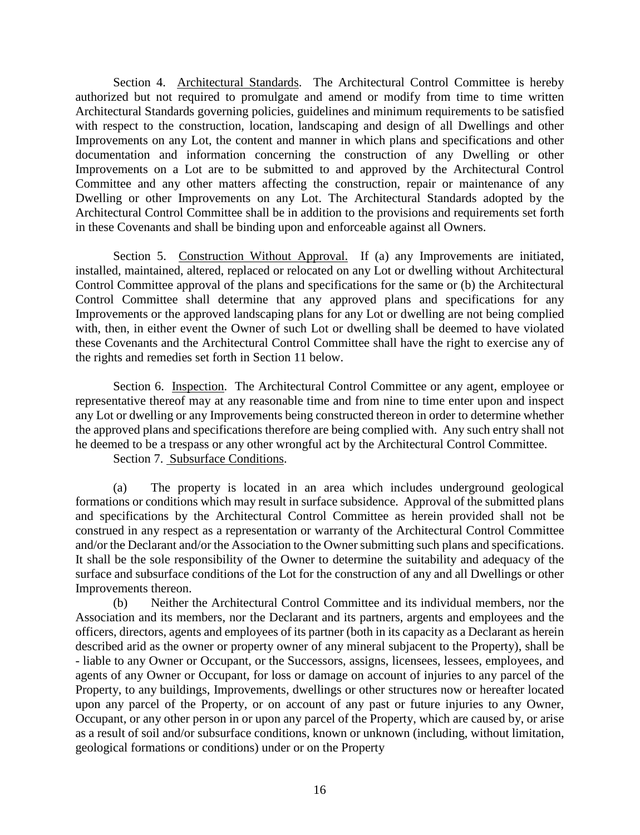Section 4. Architectural Standards. The Architectural Control Committee is hereby authorized but not required to promulgate and amend or modify from time to time written Architectural Standards governing policies, guidelines and minimum requirements to be satisfied with respect to the construction, location, landscaping and design of all Dwellings and other Improvements on any Lot, the content and manner in which plans and specifications and other documentation and information concerning the construction of any Dwelling or other Improvements on a Lot are to be submitted to and approved by the Architectural Control Committee and any other matters affecting the construction, repair or maintenance of any Dwelling or other Improvements on any Lot. The Architectural Standards adopted by the Architectural Control Committee shall be in addition to the provisions and requirements set forth in these Covenants and shall be binding upon and enforceable against all Owners.

Section 5. Construction Without Approval. If (a) any Improvements are initiated, installed, maintained, altered, replaced or relocated on any Lot or dwelling without Architectural Control Committee approval of the plans and specifications for the same or (b) the Architectural Control Committee shall determine that any approved plans and specifications for any Improvements or the approved landscaping plans for any Lot or dwelling are not being complied with, then, in either event the Owner of such Lot or dwelling shall be deemed to have violated these Covenants and the Architectural Control Committee shall have the right to exercise any of the rights and remedies set forth in Section 11 below.

Section 6. Inspection. The Architectural Control Committee or any agent, employee or representative thereof may at any reasonable time and from nine to time enter upon and inspect any Lot or dwelling or any Improvements being constructed thereon in order to determine whether the approved plans and specifications therefore are being complied with. Any such entry shall not he deemed to be a trespass or any other wrongful act by the Architectural Control Committee.

Section 7. Subsurface Conditions.

(a) The property is located in an area which includes underground geological formations or conditions which may result in surface subsidence. Approval of the submitted plans and specifications by the Architectural Control Committee as herein provided shall not be construed in any respect as a representation or warranty of the Architectural Control Committee and/or the Declarant and/or the Association to the Owner submitting such plans and specifications. It shall be the sole responsibility of the Owner to determine the suitability and adequacy of the surface and subsurface conditions of the Lot for the construction of any and all Dwellings or other Improvements thereon.

(b) Neither the Architectural Control Committee and its individual members, nor the Association and its members, nor the Declarant and its partners, argents and employees and the officers, directors, agents and employees of its partner (both in its capacity as a Declarant as herein described arid as the owner or property owner of any mineral subjacent to the Property), shall be - liable to any Owner or Occupant, or the Successors, assigns, licensees, lessees, employees, and agents of any Owner or Occupant, for loss or damage on account of injuries to any parcel of the Property, to any buildings, Improvements, dwellings or other structures now or hereafter located upon any parcel of the Property, or on account of any past or future injuries to any Owner, Occupant, or any other person in or upon any parcel of the Property, which are caused by, or arise as a result of soil and/or subsurface conditions, known or unknown (including, without limitation, geological formations or conditions) under or on the Property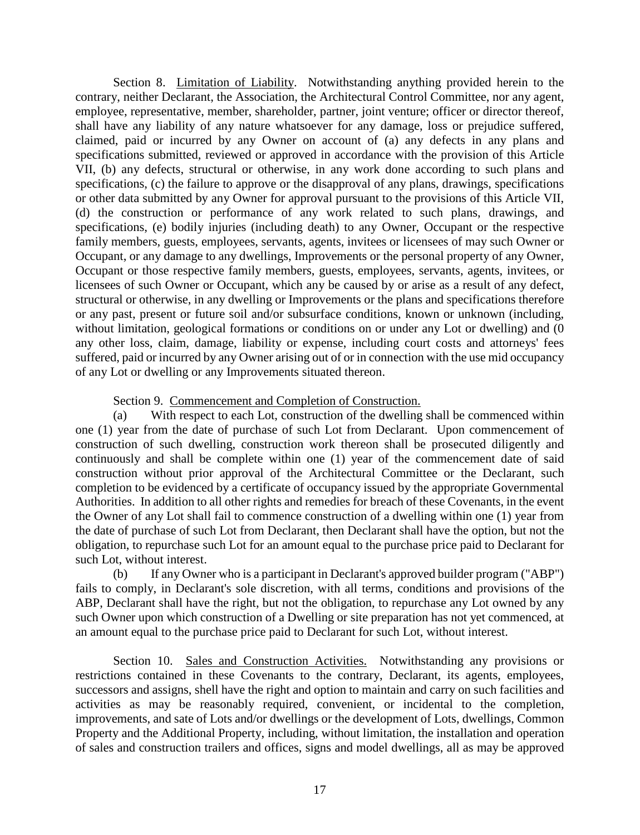Section 8. Limitation of Liability. Notwithstanding anything provided herein to the contrary, neither Declarant, the Association, the Architectural Control Committee, nor any agent, employee, representative, member, shareholder, partner, joint venture; officer or director thereof, shall have any liability of any nature whatsoever for any damage, loss or prejudice suffered, claimed, paid or incurred by any Owner on account of (a) any defects in any plans and specifications submitted, reviewed or approved in accordance with the provision of this Article VII, (b) any defects, structural or otherwise, in any work done according to such plans and specifications, (c) the failure to approve or the disapproval of any plans, drawings, specifications or other data submitted by any Owner for approval pursuant to the provisions of this Article VII, (d) the construction or performance of any work related to such plans, drawings, and specifications, (e) bodily injuries (including death) to any Owner, Occupant or the respective family members, guests, employees, servants, agents, invitees or licensees of may such Owner or Occupant, or any damage to any dwellings, Improvements or the personal property of any Owner, Occupant or those respective family members, guests, employees, servants, agents, invitees, or licensees of such Owner or Occupant, which any be caused by or arise as a result of any defect, structural or otherwise, in any dwelling or Improvements or the plans and specifications therefore or any past, present or future soil and/or subsurface conditions, known or unknown (including, without limitation, geological formations or conditions on or under any Lot or dwelling) and (0 any other loss, claim, damage, liability or expense, including court costs and attorneys' fees suffered, paid or incurred by any Owner arising out of or in connection with the use mid occupancy of any Lot or dwelling or any Improvements situated thereon.

# Section 9. Commencement and Completion of Construction.

(a) With respect to each Lot, construction of the dwelling shall be commenced within one (1) year from the date of purchase of such Lot from Declarant. Upon commencement of construction of such dwelling, construction work thereon shall be prosecuted diligently and continuously and shall be complete within one (1) year of the commencement date of said construction without prior approval of the Architectural Committee or the Declarant, such completion to be evidenced by a certificate of occupancy issued by the appropriate Governmental Authorities. In addition to all other rights and remedies for breach of these Covenants, in the event the Owner of any Lot shall fail to commence construction of a dwelling within one (1) year from the date of purchase of such Lot from Declarant, then Declarant shall have the option, but not the obligation, to repurchase such Lot for an amount equal to the purchase price paid to Declarant for such Lot, without interest.

(b) If any Owner who is a participant in Declarant's approved builder program ("ABP") fails to comply, in Declarant's sole discretion, with all terms, conditions and provisions of the ABP, Declarant shall have the right, but not the obligation, to repurchase any Lot owned by any such Owner upon which construction of a Dwelling or site preparation has not yet commenced, at an amount equal to the purchase price paid to Declarant for such Lot, without interest.

Section 10. Sales and Construction Activities. Notwithstanding any provisions or restrictions contained in these Covenants to the contrary, Declarant, its agents, employees, successors and assigns, shell have the right and option to maintain and carry on such facilities and activities as may be reasonably required, convenient, or incidental to the completion, improvements, and sate of Lots and/or dwellings or the development of Lots, dwellings, Common Property and the Additional Property, including, without limitation, the installation and operation of sales and construction trailers and offices, signs and model dwellings, all as may be approved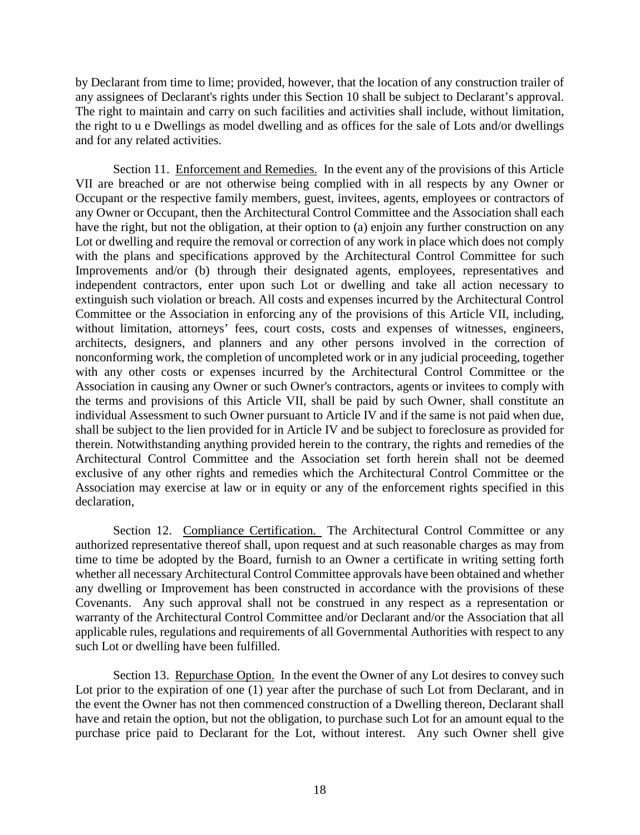by Declarant from time to lime; provided, however, that the location of any construction trailer of any assignees of Declarant's rights under this Section 10 shall be subject to Declarant's approval. The right to maintain and carry on such facilities and activities shall include, without limitation, the right to u e Dwellings as model dwelling and as offices for the sale of Lots and/or dwellings and for any related activities.

Section 11. Enforcement and Remedies. In the event any of the provisions of this Article VII are breached or are not otherwise being complied with in all respects by any Owner or Occupant or the respective family members, guest, invitees, agents, employees or contractors of any Owner or Occupant, then the Architectural Control Committee and the Association shall each have the right, but not the obligation, at their option to (a) enjoin any further construction on any Lot or dwelling and require the removal or correction of any work in place which does not comply with the plans and specifications approved by the Architectural Control Committee for such Improvements and/or (b) through their designated agents, employees, representatives and independent contractors, enter upon such Lot or dwelling and take all action necessary to extinguish such violation or breach. All costs and expenses incurred by the Architectural Control Committee or the Association in enforcing any of the provisions of this Article VII, including, without limitation, attorneys' fees, court costs, costs and expenses of witnesses, engineers, architects, designers, and planners and any other persons involved in the correction of nonconforming work, the completion of uncompleted work or in any judicial proceeding, together with any other costs or expenses incurred by the Architectural Control Committee or the Association in causing any Owner or such Owner's contractors, agents or invitees to comply with the terms and provisions of this Article VII, shall be paid by such Owner, shall constitute an individual Assessment to such Owner pursuant to Article IV and if the same is not paid when due, shall be subject to the lien provided for in Article IV and be subject to foreclosure as provided for therein. Notwithstanding anything provided herein to the contrary, the rights and remedies of the Architectural Control Committee and the Association set forth herein shall not be deemed exclusive of any other rights and remedies which the Architectural Control Committee or the Association may exercise at law or in equity or any of the enforcement rights specified in this declaration,

Section 12. Compliance Certification. The Architectural Control Committee or any authorized representative thereof shall, upon request and at such reasonable charges as may from time to time be adopted by the Board, furnish to an Owner a certificate in writing setting forth whether all necessary Architectural Control Committee approvals have been obtained and whether any dwelling or Improvement has been constructed in accordance with the provisions of these Covenants. Any such approval shall not be construed in any respect as a representation or warranty of the Architectural Control Committee and/or Declarant and/or the Association that all applicable rules, regulations and requirements of all Governmental Authorities with respect to any such Lot or dwelling have been fulfilled.

Section 13. Repurchase Option. In the event the Owner of any Lot desires to convey such Lot prior to the expiration of one (1) year after the purchase of such Lot from Declarant, and in the event the Owner has not then commenced construction of a Dwelling thereon, Declarant shall have and retain the option, but not the obligation, to purchase such Lot for an amount equal to the purchase price paid to Declarant for the Lot, without interest. Any such Owner shell give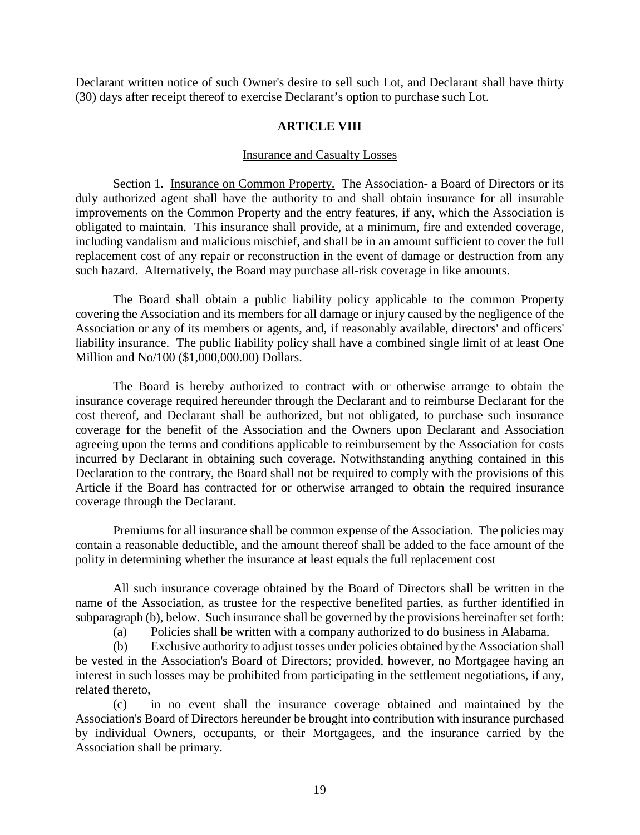Declarant written notice of such Owner's desire to sell such Lot, and Declarant shall have thirty (30) days after receipt thereof to exercise Declarant's option to purchase such Lot.

# **ARTICLE VIII**

# Insurance and Casualty Losses

Section 1. Insurance on Common Property. The Association- a Board of Directors or its duly authorized agent shall have the authority to and shall obtain insurance for all insurable improvements on the Common Property and the entry features, if any, which the Association is obligated to maintain. This insurance shall provide, at a minimum, fire and extended coverage, including vandalism and malicious mischief, and shall be in an amount sufficient to cover the full replacement cost of any repair or reconstruction in the event of damage or destruction from any such hazard. Alternatively, the Board may purchase all-risk coverage in like amounts.

The Board shall obtain a public liability policy applicable to the common Property covering the Association and its members for all damage or injury caused by the negligence of the Association or any of its members or agents, and, if reasonably available, directors' and officers' liability insurance. The public liability policy shall have a combined single limit of at least One Million and No/100 (\$1,000,000.00) Dollars.

The Board is hereby authorized to contract with or otherwise arrange to obtain the insurance coverage required hereunder through the Declarant and to reimburse Declarant for the cost thereof, and Declarant shall be authorized, but not obligated, to purchase such insurance coverage for the benefit of the Association and the Owners upon Declarant and Association agreeing upon the terms and conditions applicable to reimbursement by the Association for costs incurred by Declarant in obtaining such coverage. Notwithstanding anything contained in this Declaration to the contrary, the Board shall not be required to comply with the provisions of this Article if the Board has contracted for or otherwise arranged to obtain the required insurance coverage through the Declarant.

Premiums for all insurance shall be common expense of the Association. The policies may contain a reasonable deductible, and the amount thereof shall be added to the face amount of the polity in determining whether the insurance at least equals the full replacement cost

All such insurance coverage obtained by the Board of Directors shall be written in the name of the Association, as trustee for the respective benefited parties, as further identified in subparagraph (b), below. Such insurance shall be governed by the provisions hereinafter set forth:

(a) Policies shall be written with a company authorized to do business in Alabama.

(b) Exclusive authority to adjust tosses under policies obtained by the Association shall be vested in the Association's Board of Directors; provided, however, no Mortgagee having an interest in such losses may be prohibited from participating in the settlement negotiations, if any, related thereto,

(c) in no event shall the insurance coverage obtained and maintained by the Association's Board of Directors hereunder be brought into contribution with insurance purchased by individual Owners, occupants, or their Mortgagees, and the insurance carried by the Association shall be primary.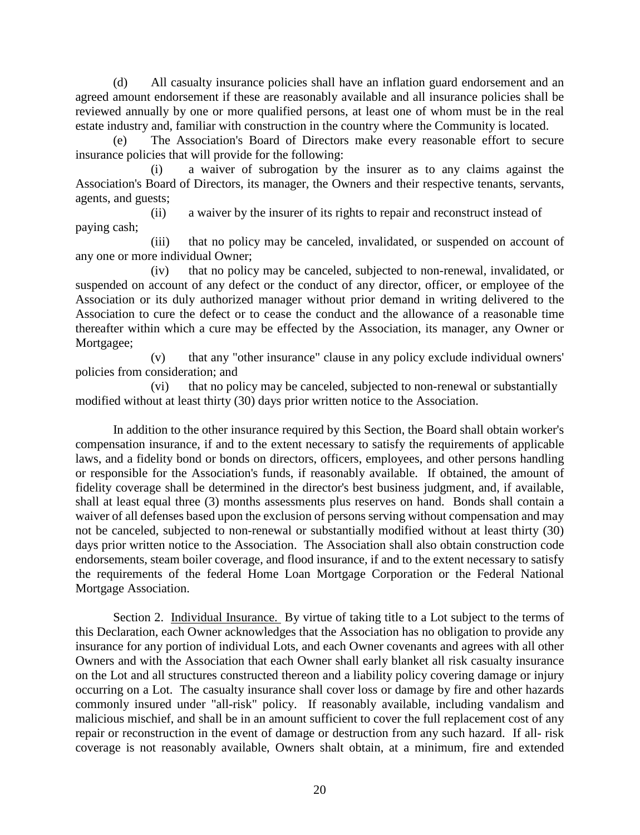(d) All casualty insurance policies shall have an inflation guard endorsement and an agreed amount endorsement if these are reasonably available and all insurance policies shall be reviewed annually by one or more qualified persons, at least one of whom must be in the real estate industry and, familiar with construction in the country where the Community is located.

(e) The Association's Board of Directors make every reasonable effort to secure insurance policies that will provide for the following:

(i) a waiver of subrogation by the insurer as to any claims against the Association's Board of Directors, its manager, the Owners and their respective tenants, servants, agents, and guests;

(ii) a waiver by the insurer of its rights to repair and reconstruct instead of paying cash;

(iii) that no policy may be canceled, invalidated, or suspended on account of any one or more individual Owner;

(iv) that no policy may be canceled, subjected to non-renewal, invalidated, or suspended on account of any defect or the conduct of any director, officer, or employee of the Association or its duly authorized manager without prior demand in writing delivered to the Association to cure the defect or to cease the conduct and the allowance of a reasonable time thereafter within which a cure may be effected by the Association, its manager, any Owner or Mortgagee;

(v) that any "other insurance" clause in any policy exclude individual owners' policies from consideration; and

(vi) that no policy may be canceled, subjected to non-renewal or substantially modified without at least thirty (30) days prior written notice to the Association.

In addition to the other insurance required by this Section, the Board shall obtain worker's compensation insurance, if and to the extent necessary to satisfy the requirements of applicable laws, and a fidelity bond or bonds on directors, officers, employees, and other persons handling or responsible for the Association's funds, if reasonably available. If obtained, the amount of fidelity coverage shall be determined in the director's best business judgment, and, if available, shall at least equal three (3) months assessments plus reserves on hand. Bonds shall contain a waiver of all defenses based upon the exclusion of persons serving without compensation and may not be canceled, subjected to non-renewal or substantially modified without at least thirty (30) days prior written notice to the Association. The Association shall also obtain construction code endorsements, steam boiler coverage, and flood insurance, if and to the extent necessary to satisfy the requirements of the federal Home Loan Mortgage Corporation or the Federal National Mortgage Association.

Section 2. Individual Insurance. By virtue of taking title to a Lot subject to the terms of this Declaration, each Owner acknowledges that the Association has no obligation to provide any insurance for any portion of individual Lots, and each Owner covenants and agrees with all other Owners and with the Association that each Owner shall early blanket all risk casualty insurance on the Lot and all structures constructed thereon and a liability policy covering damage or injury occurring on a Lot. The casualty insurance shall cover loss or damage by fire and other hazards commonly insured under "all-risk" policy. If reasonably available, including vandalism and malicious mischief, and shall be in an amount sufficient to cover the full replacement cost of any repair or reconstruction in the event of damage or destruction from any such hazard. If all- risk coverage is not reasonably available, Owners shalt obtain, at a minimum, fire and extended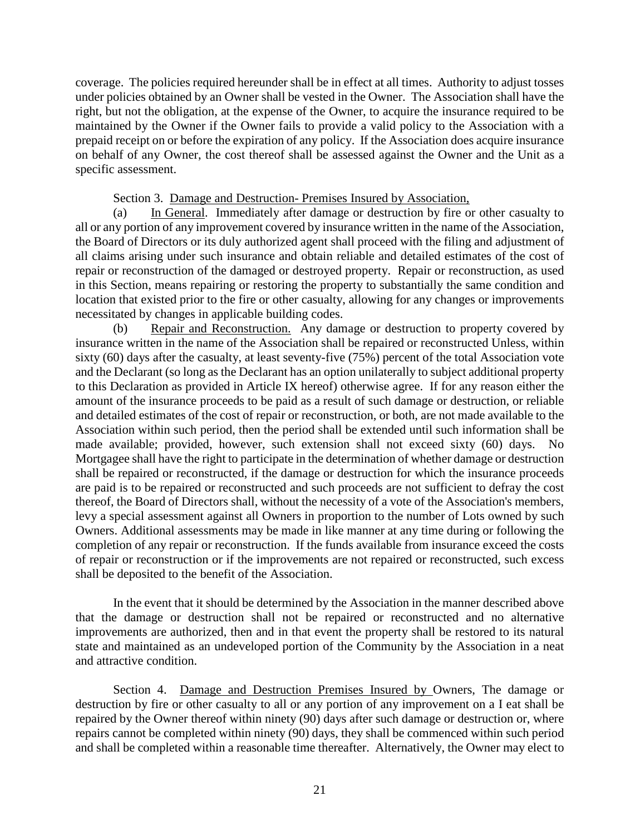coverage. The policies required hereunder shall be in effect at all times. Authority to adjust tosses under policies obtained by an Owner shall be vested in the Owner. The Association shall have the right, but not the obligation, at the expense of the Owner, to acquire the insurance required to be maintained by the Owner if the Owner fails to provide a valid policy to the Association with a prepaid receipt on or before the expiration of any policy. If the Association does acquire insurance on behalf of any Owner, the cost thereof shall be assessed against the Owner and the Unit as a specific assessment.

Section 3. Damage and Destruction- Premises Insured by Association,

(a) In General. Immediately after damage or destruction by fire or other casualty to all or any portion of any improvement covered by insurance written in the name of the Association, the Board of Directors or its duly authorized agent shall proceed with the filing and adjustment of all claims arising under such insurance and obtain reliable and detailed estimates of the cost of repair or reconstruction of the damaged or destroyed property. Repair or reconstruction, as used in this Section, means repairing or restoring the property to substantially the same condition and location that existed prior to the fire or other casualty, allowing for any changes or improvements necessitated by changes in applicable building codes.

(b) Repair and Reconstruction. Any damage or destruction to property covered by insurance written in the name of the Association shall be repaired or reconstructed Unless, within sixty (60) days after the casualty, at least seventy-five (75%) percent of the total Association vote and the Declarant (so long as the Declarant has an option unilaterally to subject additional property to this Declaration as provided in Article IX hereof) otherwise agree. If for any reason either the amount of the insurance proceeds to be paid as a result of such damage or destruction, or reliable and detailed estimates of the cost of repair or reconstruction, or both, are not made available to the Association within such period, then the period shall be extended until such information shall be made available; provided, however, such extension shall not exceed sixty (60) days. No Mortgagee shall have the right to participate in the determination of whether damage or destruction shall be repaired or reconstructed, if the damage or destruction for which the insurance proceeds are paid is to be repaired or reconstructed and such proceeds are not sufficient to defray the cost thereof, the Board of Directors shall, without the necessity of a vote of the Association's members, levy a special assessment against all Owners in proportion to the number of Lots owned by such Owners. Additional assessments may be made in like manner at any time during or following the completion of any repair or reconstruction. If the funds available from insurance exceed the costs of repair or reconstruction or if the improvements are not repaired or reconstructed, such excess shall be deposited to the benefit of the Association.

In the event that it should be determined by the Association in the manner described above that the damage or destruction shall not be repaired or reconstructed and no alternative improvements are authorized, then and in that event the property shall be restored to its natural state and maintained as an undeveloped portion of the Community by the Association in a neat and attractive condition.

Section 4. Damage and Destruction Premises Insured by Owners, The damage or destruction by fire or other casualty to all or any portion of any improvement on a I eat shall be repaired by the Owner thereof within ninety (90) days after such damage or destruction or, where repairs cannot be completed within ninety (90) days, they shall be commenced within such period and shall be completed within a reasonable time thereafter. Alternatively, the Owner may elect to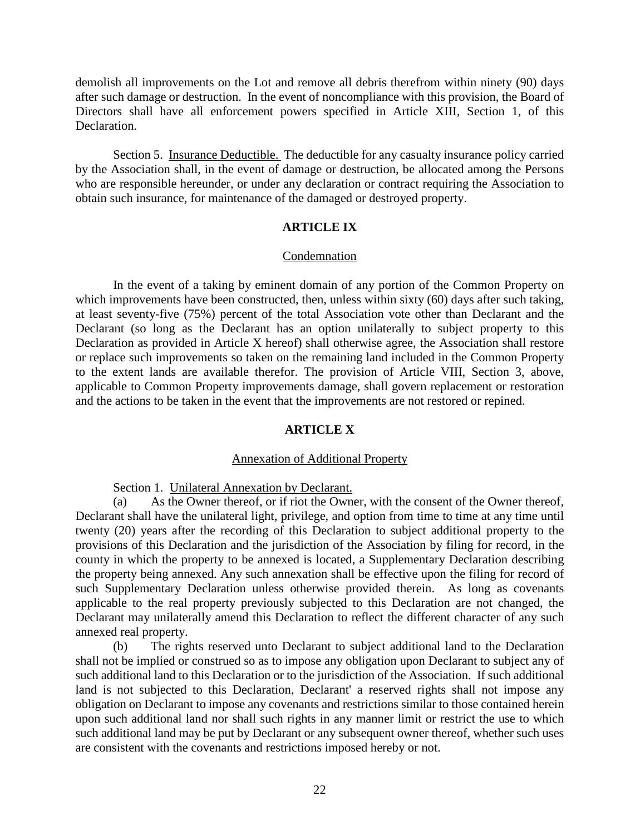demolish all improvements on the Lot and remove all debris therefrom within ninety (90) days after such damage or destruction. In the event of noncompliance with this provision, the Board of Directors shall have all enforcement powers specified in Article XIII, Section 1, of this Declaration.

Section 5. Insurance Deductible. The deductible for any casualty insurance policy carried by the Association shall, in the event of damage or destruction, be allocated among the Persons who are responsible hereunder, or under any declaration or contract requiring the Association to obtain such insurance, for maintenance of the damaged or destroyed property.

# **ARTICLE IX**

# Condemnation

In the event of a taking by eminent domain of any portion of the Common Property on which improvements have been constructed, then, unless within sixty (60) days after such taking, at least seventy-five (75%) percent of the total Association vote other than Declarant and the Declarant (so long as the Declarant has an option unilaterally to subject property to this Declaration as provided in Article X hereof) shall otherwise agree, the Association shall restore or replace such improvements so taken on the remaining land included in the Common Property to the extent lands are available therefor. The provision of Article VIII, Section 3, above, applicable to Common Property improvements damage, shall govern replacement or restoration and the actions to be taken in the event that the improvements are not restored or repined.

# **ARTICLE X**

# Annexation of Additional Property

Section 1. Unilateral Annexation by Declarant.

(a) As the Owner thereof, or if riot the Owner, with the consent of the Owner thereof, Declarant shall have the unilateral light, privilege, and option from time to time at any time until twenty (20) years after the recording of this Declaration to subject additional property to the provisions of this Declaration and the jurisdiction of the Association by filing for record, in the county in which the property to be annexed is located, a Supplementary Declaration describing the property being annexed. Any such annexation shall be effective upon the filing for record of such Supplementary Declaration unless otherwise provided therein. As long as covenants applicable to the real property previously subjected to this Declaration are not changed, the Declarant may unilaterally amend this Declaration to reflect the different character of any such annexed real property.

(b) The rights reserved unto Declarant to subject additional land to the Declaration shall not be implied or construed so as to impose any obligation upon Declarant to subject any of such additional land to this Declaration or to the jurisdiction of the Association. If such additional land is not subjected to this Declaration, Declarant' a reserved rights shall not impose any obligation on Declarant to impose any covenants and restrictions similar to those contained herein upon such additional land nor shall such rights in any manner limit or restrict the use to which such additional land may be put by Declarant or any subsequent owner thereof, whether such uses are consistent with the covenants and restrictions imposed hereby or not.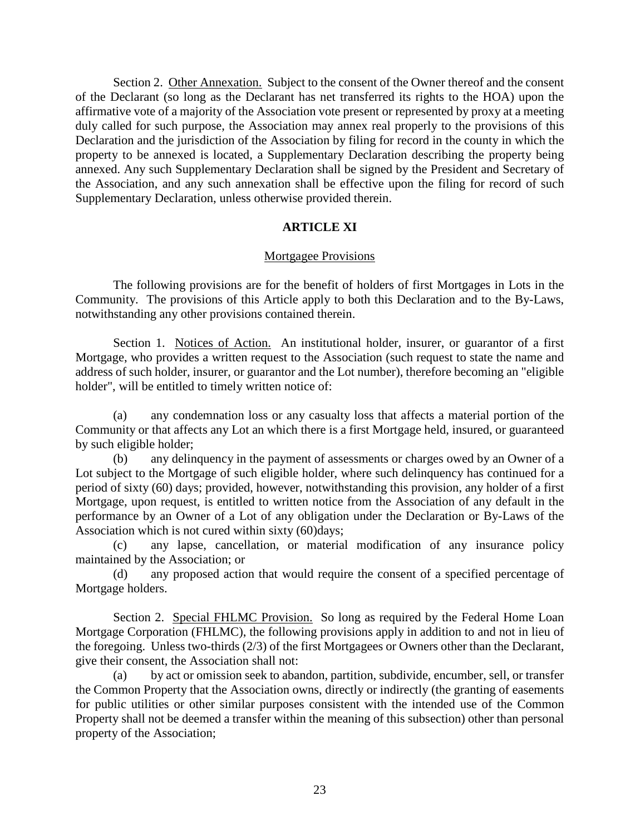Section 2. Other Annexation. Subject to the consent of the Owner thereof and the consent of the Declarant (so long as the Declarant has net transferred its rights to the HOA) upon the affirmative vote of a majority of the Association vote present or represented by proxy at a meeting duly called for such purpose, the Association may annex real properly to the provisions of this Declaration and the jurisdiction of the Association by filing for record in the county in which the property to be annexed is located, a Supplementary Declaration describing the property being annexed. Any such Supplementary Declaration shall be signed by the President and Secretary of the Association, and any such annexation shall be effective upon the filing for record of such Supplementary Declaration, unless otherwise provided therein.

# **ARTICLE XI**

# Mortgagee Provisions

The following provisions are for the benefit of holders of first Mortgages in Lots in the Community. The provisions of this Article apply to both this Declaration and to the By-Laws, notwithstanding any other provisions contained therein.

Section 1. Notices of Action. An institutional holder, insurer, or guarantor of a first Mortgage, who provides a written request to the Association (such request to state the name and address of such holder, insurer, or guarantor and the Lot number), therefore becoming an "eligible holder", will be entitled to timely written notice of:

(a) any condemnation loss or any casualty loss that affects a material portion of the Community or that affects any Lot an which there is a first Mortgage held, insured, or guaranteed by such eligible holder;

(b) any delinquency in the payment of assessments or charges owed by an Owner of a Lot subject to the Mortgage of such eligible holder, where such delinquency has continued for a period of sixty (60) days; provided, however, notwithstanding this provision, any holder of a first Mortgage, upon request, is entitled to written notice from the Association of any default in the performance by an Owner of a Lot of any obligation under the Declaration or By-Laws of the Association which is not cured within sixty (60) days;

(c) any lapse, cancellation, or material modification of any insurance policy maintained by the Association; or

(d) any proposed action that would require the consent of a specified percentage of Mortgage holders.

Section 2. Special FHLMC Provision. So long as required by the Federal Home Loan Mortgage Corporation (FHLMC), the following provisions apply in addition to and not in lieu of the foregoing. Unless two-thirds (2/3) of the first Mortgagees or Owners other than the Declarant, give their consent, the Association shall not:

(a) by act or omission seek to abandon, partition, subdivide, encumber, sell, or transfer the Common Property that the Association owns, directly or indirectly (the granting of easements for public utilities or other similar purposes consistent with the intended use of the Common Property shall not be deemed a transfer within the meaning of this subsection) other than personal property of the Association;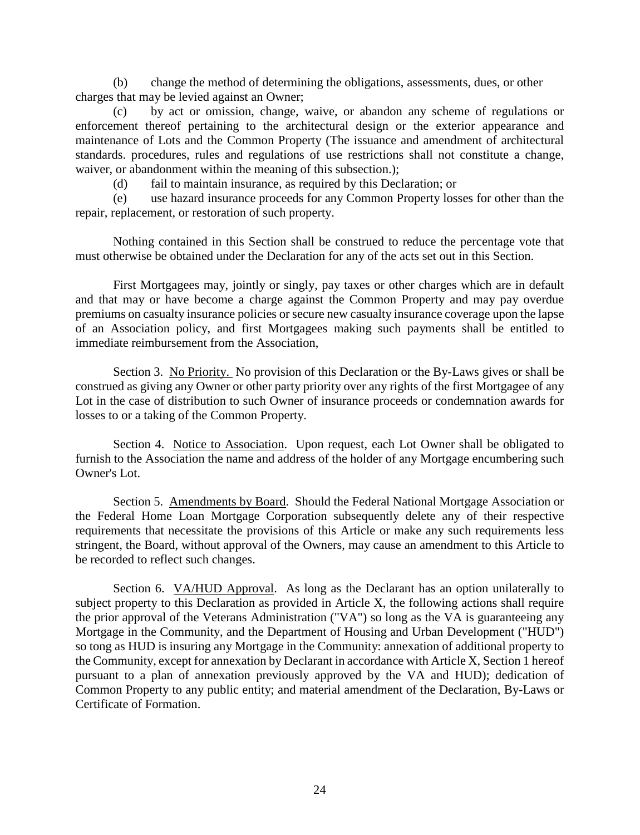(b) change the method of determining the obligations, assessments, dues, or other charges that may be levied against an Owner;

(c) by act or omission, change, waive, or abandon any scheme of regulations or enforcement thereof pertaining to the architectural design or the exterior appearance and maintenance of Lots and the Common Property (The issuance and amendment of architectural standards. procedures, rules and regulations of use restrictions shall not constitute a change, waiver, or abandonment within the meaning of this subsection.);

(d) fail to maintain insurance, as required by this Declaration; or

(e) use hazard insurance proceeds for any Common Property losses for other than the repair, replacement, or restoration of such property.

Nothing contained in this Section shall be construed to reduce the percentage vote that must otherwise be obtained under the Declaration for any of the acts set out in this Section.

First Mortgagees may, jointly or singly, pay taxes or other charges which are in default and that may or have become a charge against the Common Property and may pay overdue premiums on casualty insurance policies or secure new casualty insurance coverage upon the lapse of an Association policy, and first Mortgagees making such payments shall be entitled to immediate reimbursement from the Association,

Section 3. No Priority. No provision of this Declaration or the By-Laws gives or shall be construed as giving any Owner or other party priority over any rights of the first Mortgagee of any Lot in the case of distribution to such Owner of insurance proceeds or condemnation awards for losses to or a taking of the Common Property.

Section 4. Notice to Association. Upon request, each Lot Owner shall be obligated to furnish to the Association the name and address of the holder of any Mortgage encumbering such Owner's Lot.

Section 5. Amendments by Board. Should the Federal National Mortgage Association or the Federal Home Loan Mortgage Corporation subsequently delete any of their respective requirements that necessitate the provisions of this Article or make any such requirements less stringent, the Board, without approval of the Owners, may cause an amendment to this Article to be recorded to reflect such changes.

Section 6. VA/HUD Approval. As long as the Declarant has an option unilaterally to subject property to this Declaration as provided in Article X, the following actions shall require the prior approval of the Veterans Administration ("VA") so long as the VA is guaranteeing any Mortgage in the Community, and the Department of Housing and Urban Development ("HUD") so tong as HUD is insuring any Mortgage in the Community: annexation of additional property to the Community, except for annexation by Declarant in accordance with Article X, Section 1 hereof pursuant to a plan of annexation previously approved by the VA and HUD); dedication of Common Property to any public entity; and material amendment of the Declaration, By-Laws or Certificate of Formation.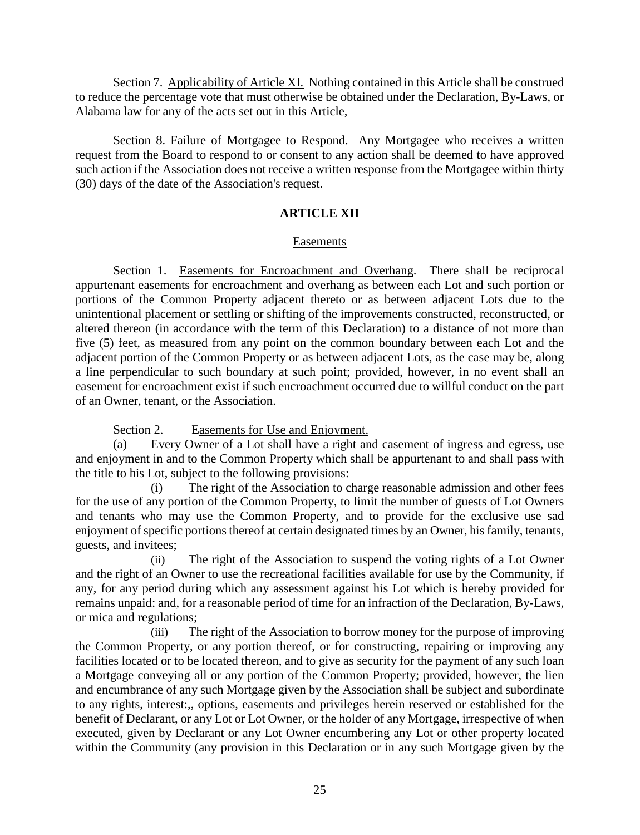Section 7. Applicability of Article XI. Nothing contained in this Article shall be construed to reduce the percentage vote that must otherwise be obtained under the Declaration, By-Laws, or Alabama law for any of the acts set out in this Article,

Section 8. Failure of Mortgagee to Respond. Any Mortgagee who receives a written request from the Board to respond to or consent to any action shall be deemed to have approved such action if the Association does not receive a written response from the Mortgagee within thirty (30) days of the date of the Association's request.

# **ARTICLE XII**

# Easements

Section 1. Easements for Encroachment and Overhang. There shall be reciprocal appurtenant easements for encroachment and overhang as between each Lot and such portion or portions of the Common Property adjacent thereto or as between adjacent Lots due to the unintentional placement or settling or shifting of the improvements constructed, reconstructed, or altered thereon (in accordance with the term of this Declaration) to a distance of not more than five (5) feet, as measured from any point on the common boundary between each Lot and the adjacent portion of the Common Property or as between adjacent Lots, as the case may be, along a line perpendicular to such boundary at such point; provided, however, in no event shall an easement for encroachment exist if such encroachment occurred due to willful conduct on the part of an Owner, tenant, or the Association.

Section 2. Easements for Use and Enjoyment.

(a) Every Owner of a Lot shall have a right and casement of ingress and egress, use and enjoyment in and to the Common Property which shall be appurtenant to and shall pass with the title to his Lot, subject to the following provisions:

(i) The right of the Association to charge reasonable admission and other fees for the use of any portion of the Common Property, to limit the number of guests of Lot Owners and tenants who may use the Common Property, and to provide for the exclusive use sad enjoyment of specific portions thereof at certain designated times by an Owner, his family, tenants, guests, and invitees;

(ii) The right of the Association to suspend the voting rights of a Lot Owner and the right of an Owner to use the recreational facilities available for use by the Community, if any, for any period during which any assessment against his Lot which is hereby provided for remains unpaid: and, for a reasonable period of time for an infraction of the Declaration, By-Laws, or mica and regulations;

(iii) The right of the Association to borrow money for the purpose of improving the Common Property, or any portion thereof, or for constructing, repairing or improving any facilities located or to be located thereon, and to give as security for the payment of any such loan a Mortgage conveying all or any portion of the Common Property; provided, however, the lien and encumbrance of any such Mortgage given by the Association shall be subject and subordinate to any rights, interest:,, options, easements and privileges herein reserved or established for the benefit of Declarant, or any Lot or Lot Owner, or the holder of any Mortgage, irrespective of when executed, given by Declarant or any Lot Owner encumbering any Lot or other property located within the Community (any provision in this Declaration or in any such Mortgage given by the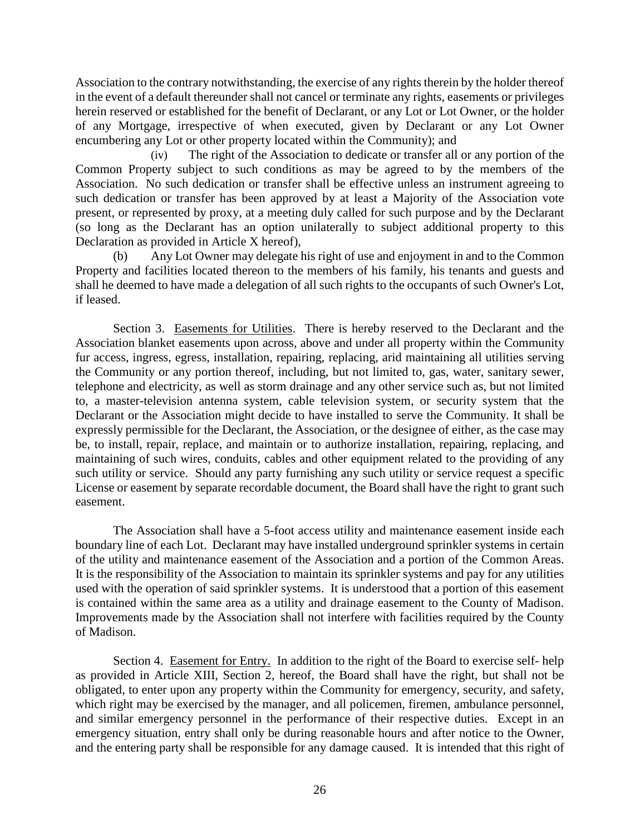Association to the contrary notwithstanding, the exercise of any rights therein by the holder thereof in the event of a default thereunder shall not cancel or terminate any rights, easements or privileges herein reserved or established for the benefit of Declarant, or any Lot or Lot Owner, or the holder of any Mortgage, irrespective of when executed, given by Declarant or any Lot Owner encumbering any Lot or other property located within the Community); and

(iv) The right of the Association to dedicate or transfer all or any portion of the Common Property subject to such conditions as may be agreed to by the members of the Association. No such dedication or transfer shall be effective unless an instrument agreeing to such dedication or transfer has been approved by at least a Majority of the Association vote present, or represented by proxy, at a meeting duly called for such purpose and by the Declarant (so long as the Declarant has an option unilaterally to subject additional property to this Declaration as provided in Article X hereof),

(b) Any Lot Owner may delegate his right of use and enjoyment in and to the Common Property and facilities located thereon to the members of his family, his tenants and guests and shall he deemed to have made a delegation of all such rights to the occupants of such Owner's Lot, if leased.

Section 3. Easements for Utilities. There is hereby reserved to the Declarant and the Association blanket easements upon across, above and under all property within the Community fur access, ingress, egress, installation, repairing, replacing, arid maintaining all utilities serving the Community or any portion thereof, including, but not limited to, gas, water, sanitary sewer, telephone and electricity, as well as storm drainage and any other service such as, but not limited to, a master-television antenna system, cable television system, or security system that the Declarant or the Association might decide to have installed to serve the Community. It shall be expressly permissible for the Declarant, the Association, or the designee of either, as the case may be, to install, repair, replace, and maintain or to authorize installation, repairing, replacing, and maintaining of such wires, conduits, cables and other equipment related to the providing of any such utility or service. Should any party furnishing any such utility or service request a specific License or easement by separate recordable document, the Board shall have the right to grant such easement.

The Association shall have a 5-foot access utility and maintenance easement inside each boundary line of each Lot. Declarant may have installed underground sprinkler systems in certain of the utility and maintenance easement of the Association and a portion of the Common Areas. It is the responsibility of the Association to maintain its sprinkler systems and pay for any utilities used with the operation of said sprinkler systems. It is understood that a portion of this easement is contained within the same area as a utility and drainage easement to the County of Madison. Improvements made by the Association shall not interfere with facilities required by the County of Madison.

Section 4. Easement for Entry. In addition to the right of the Board to exercise self- help as provided in Article XIII, Section 2, hereof, the Board shall have the right, but shall not be obligated, to enter upon any property within the Community for emergency, security, and safety, which right may be exercised by the manager, and all policemen, firemen, ambulance personnel, and similar emergency personnel in the performance of their respective duties. Except in an emergency situation, entry shall only be during reasonable hours and after notice to the Owner, and the entering party shall be responsible for any damage caused. It is intended that this right of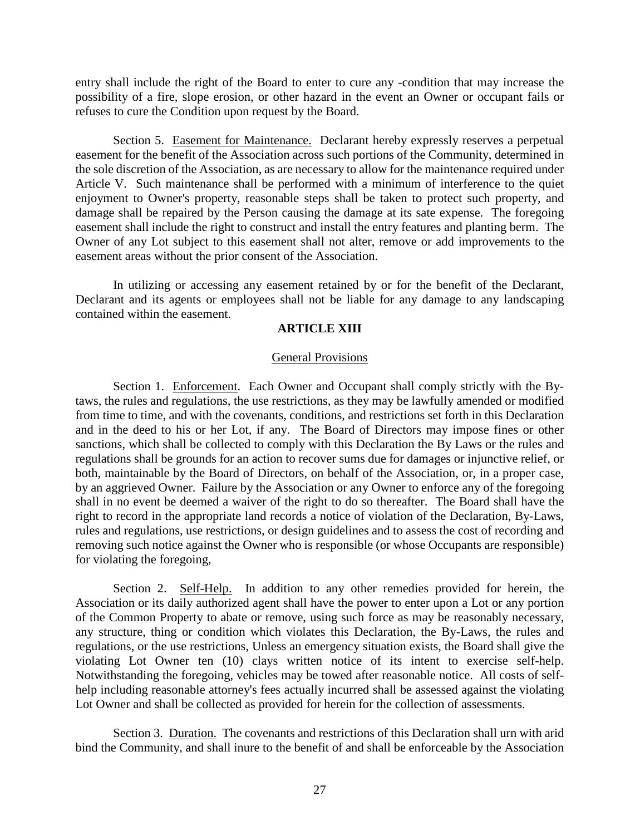entry shall include the right of the Board to enter to cure any -condition that may increase the possibility of a fire, slope erosion, or other hazard in the event an Owner or occupant fails or refuses to cure the Condition upon request by the Board.

Section 5. Easement for Maintenance. Declarant hereby expressly reserves a perpetual easement for the benefit of the Association across such portions of the Community, determined in the sole discretion of the Association, as are necessary to allow for the maintenance required under Article V. Such maintenance shall be performed with a minimum of interference to the quiet enjoyment to Owner's property, reasonable steps shall be taken to protect such property, and damage shall be repaired by the Person causing the damage at its sate expense. The foregoing easement shall include the right to construct and install the entry features and planting berm. The Owner of any Lot subject to this easement shall not alter, remove or add improvements to the easement areas without the prior consent of the Association.

In utilizing or accessing any easement retained by or for the benefit of the Declarant, Declarant and its agents or employees shall not be liable for any damage to any landscaping contained within the easement.

# **ARTICLE XIII**

#### General Provisions

Section 1. Enforcement. Each Owner and Occupant shall comply strictly with the Bytaws, the rules and regulations, the use restrictions, as they may be lawfully amended or modified from time to time, and with the covenants, conditions, and restrictions set forth in this Declaration and in the deed to his or her Lot, if any. The Board of Directors may impose fines or other sanctions, which shall be collected to comply with this Declaration the By Laws or the rules and regulations shall be grounds for an action to recover sums due for damages or injunctive relief, or both, maintainable by the Board of Directors, on behalf of the Association, or, in a proper case, by an aggrieved Owner. Failure by the Association or any Owner to enforce any of the foregoing shall in no event be deemed a waiver of the right to do so thereafter. The Board shall have the right to record in the appropriate land records a notice of violation of the Declaration, By-Laws, rules and regulations, use restrictions, or design guidelines and to assess the cost of recording and removing such notice against the Owner who is responsible (or whose Occupants are responsible) for violating the foregoing,

Section 2. Self-Help. In addition to any other remedies provided for herein, the Association or its daily authorized agent shall have the power to enter upon a Lot or any portion of the Common Property to abate or remove, using such force as may be reasonably necessary, any structure, thing or condition which violates this Declaration, the By-Laws, the rules and regulations, or the use restrictions, Unless an emergency situation exists, the Board shall give the violating Lot Owner ten (10) clays written notice of its intent to exercise self-help. Notwithstanding the foregoing, vehicles may be towed after reasonable notice. All costs of selfhelp including reasonable attorney's fees actually incurred shall be assessed against the violating Lot Owner and shall be collected as provided for herein for the collection of assessments.

Section 3. Duration. The covenants and restrictions of this Declaration shall urn with arid bind the Community, and shall inure to the benefit of and shall be enforceable by the Association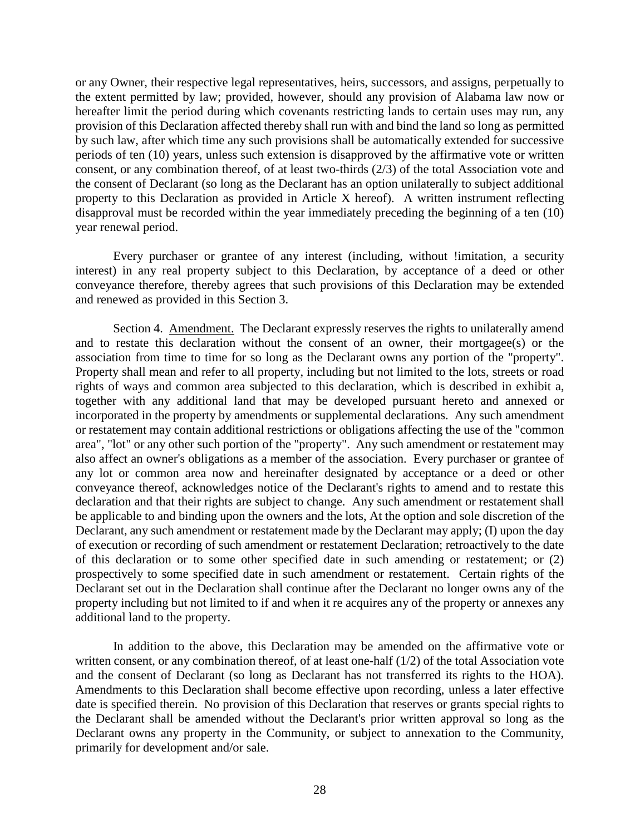or any Owner, their respective legal representatives, heirs, successors, and assigns, perpetually to the extent permitted by law; provided, however, should any provision of Alabama law now or hereafter limit the period during which covenants restricting lands to certain uses may run, any provision of this Declaration affected thereby shall run with and bind the land so long as permitted by such law, after which time any such provisions shall be automatically extended for successive periods of ten (10) years, unless such extension is disapproved by the affirmative vote or written consent, or any combination thereof, of at least two-thirds (2/3) of the total Association vote and the consent of Declarant (so long as the Declarant has an option unilaterally to subject additional property to this Declaration as provided in Article X hereof). A written instrument reflecting disapproval must be recorded within the year immediately preceding the beginning of a ten (10) year renewal period.

Every purchaser or grantee of any interest (including, without !imitation, a security interest) in any real property subject to this Declaration, by acceptance of a deed or other conveyance therefore, thereby agrees that such provisions of this Declaration may be extended and renewed as provided in this Section 3.

Section 4. Amendment. The Declarant expressly reserves the rights to unilaterally amend and to restate this declaration without the consent of an owner, their mortgagee(s) or the association from time to time for so long as the Declarant owns any portion of the "property". Property shall mean and refer to all property, including but not limited to the lots, streets or road rights of ways and common area subjected to this declaration, which is described in exhibit a, together with any additional land that may be developed pursuant hereto and annexed or incorporated in the property by amendments or supplemental declarations. Any such amendment or restatement may contain additional restrictions or obligations affecting the use of the "common area", "lot" or any other such portion of the "property". Any such amendment or restatement may also affect an owner's obligations as a member of the association. Every purchaser or grantee of any lot or common area now and hereinafter designated by acceptance or a deed or other conveyance thereof, acknowledges notice of the Declarant's rights to amend and to restate this declaration and that their rights are subject to change. Any such amendment or restatement shall be applicable to and binding upon the owners and the lots, At the option and sole discretion of the Declarant, any such amendment or restatement made by the Declarant may apply; (I) upon the day of execution or recording of such amendment or restatement Declaration; retroactively to the date of this declaration or to some other specified date in such amending or restatement; or (2) prospectively to some specified date in such amendment or restatement. Certain rights of the Declarant set out in the Declaration shall continue after the Declarant no longer owns any of the property including but not limited to if and when it re acquires any of the property or annexes any additional land to the property.

In addition to the above, this Declaration may be amended on the affirmative vote or written consent, or any combination thereof, of at least one-half (1/2) of the total Association vote and the consent of Declarant (so long as Declarant has not transferred its rights to the HOA). Amendments to this Declaration shall become effective upon recording, unless a later effective date is specified therein. No provision of this Declaration that reserves or grants special rights to the Declarant shall be amended without the Declarant's prior written approval so long as the Declarant owns any property in the Community, or subject to annexation to the Community, primarily for development and/or sale.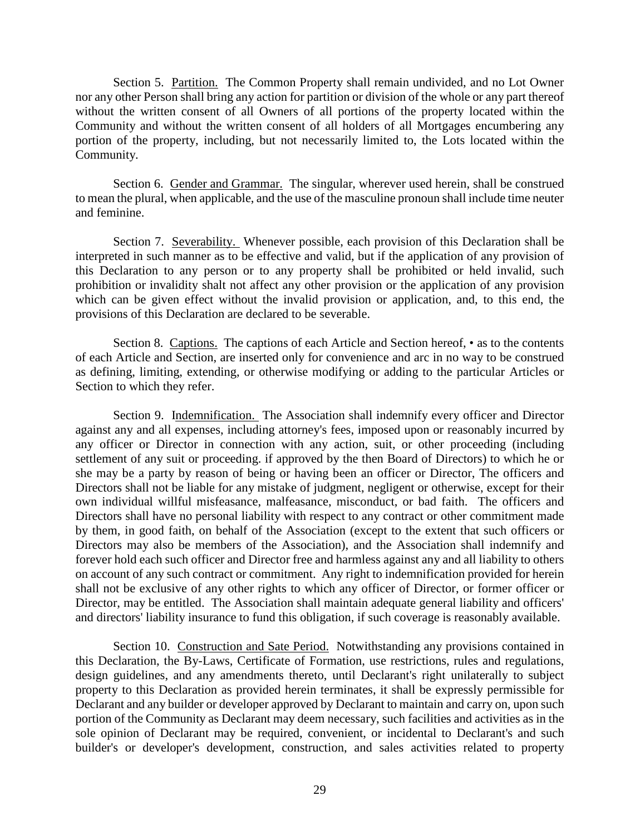Section 5. Partition. The Common Property shall remain undivided, and no Lot Owner nor any other Person shall bring any action for partition or division of the whole or any part thereof without the written consent of all Owners of all portions of the property located within the Community and without the written consent of all holders of all Mortgages encumbering any portion of the property, including, but not necessarily limited to, the Lots located within the Community.

Section 6. Gender and Grammar. The singular, wherever used herein, shall be construed to mean the plural, when applicable, and the use of the masculine pronoun shall include time neuter and feminine.

Section 7. Severability. Whenever possible, each provision of this Declaration shall be interpreted in such manner as to be effective and valid, but if the application of any provision of this Declaration to any person or to any property shall be prohibited or held invalid, such prohibition or invalidity shalt not affect any other provision or the application of any provision which can be given effect without the invalid provision or application, and, to this end, the provisions of this Declaration are declared to be severable.

Section 8. Captions. The captions of each Article and Section hereof, • as to the contents of each Article and Section, are inserted only for convenience and arc in no way to be construed as defining, limiting, extending, or otherwise modifying or adding to the particular Articles or Section to which they refer.

Section 9. Indemnification. The Association shall indemnify every officer and Director against any and all expenses, including attorney's fees, imposed upon or reasonably incurred by any officer or Director in connection with any action, suit, or other proceeding (including settlement of any suit or proceeding. if approved by the then Board of Directors) to which he or she may be a party by reason of being or having been an officer or Director, The officers and Directors shall not be liable for any mistake of judgment, negligent or otherwise, except for their own individual willful misfeasance, malfeasance, misconduct, or bad faith. The officers and Directors shall have no personal liability with respect to any contract or other commitment made by them, in good faith, on behalf of the Association (except to the extent that such officers or Directors may also be members of the Association), and the Association shall indemnify and forever hold each such officer and Director free and harmless against any and all liability to others on account of any such contract or commitment. Any right to indemnification provided for herein shall not be exclusive of any other rights to which any officer of Director, or former officer or Director, may be entitled. The Association shall maintain adequate general liability and officers' and directors' liability insurance to fund this obligation, if such coverage is reasonably available.

Section 10. Construction and Sate Period. Notwithstanding any provisions contained in this Declaration, the By-Laws, Certificate of Formation, use restrictions, rules and regulations, design guidelines, and any amendments thereto, until Declarant's right unilaterally to subject property to this Declaration as provided herein terminates, it shall be expressly permissible for Declarant and any builder or developer approved by Declarant to maintain and carry on, upon such portion of the Community as Declarant may deem necessary, such facilities and activities as in the sole opinion of Declarant may be required, convenient, or incidental to Declarant's and such builder's or developer's development, construction, and sales activities related to property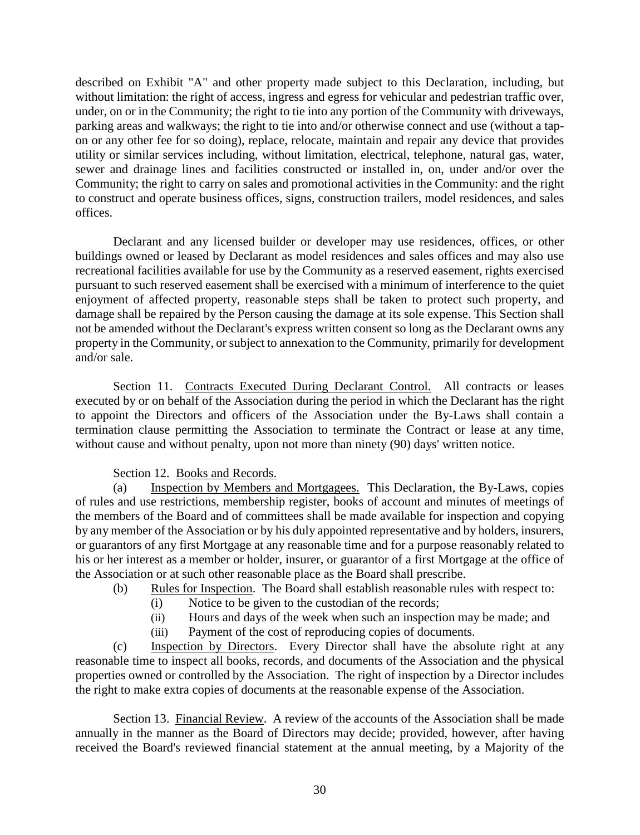described on Exhibit "A" and other property made subject to this Declaration, including, but without limitation: the right of access, ingress and egress for vehicular and pedestrian traffic over, under, on or in the Community; the right to tie into any portion of the Community with driveways, parking areas and walkways; the right to tie into and/or otherwise connect and use (without a tapon or any other fee for so doing), replace, relocate, maintain and repair any device that provides utility or similar services including, without limitation, electrical, telephone, natural gas, water, sewer and drainage lines and facilities constructed or installed in, on, under and/or over the Community; the right to carry on sales and promotional activities in the Community: and the right to construct and operate business offices, signs, construction trailers, model residences, and sales offices.

Declarant and any licensed builder or developer may use residences, offices, or other buildings owned or leased by Declarant as model residences and sales offices and may also use recreational facilities available for use by the Community as a reserved easement, rights exercised pursuant to such reserved easement shall be exercised with a minimum of interference to the quiet enjoyment of affected property, reasonable steps shall be taken to protect such property, and damage shall be repaired by the Person causing the damage at its sole expense. This Section shall not be amended without the Declarant's express written consent so long as the Declarant owns any property in the Community, or subject to annexation to the Community, primarily for development and/or sale.

Section 11. Contracts Executed During Declarant Control. All contracts or leases executed by or on behalf of the Association during the period in which the Declarant has the right to appoint the Directors and officers of the Association under the By-Laws shall contain a termination clause permitting the Association to terminate the Contract or lease at any time, without cause and without penalty, upon not more than ninety (90) days' written notice.

# Section 12. Books and Records.

(a) Inspection by Members and Mortgagees. This Declaration, the By-Laws, copies of rules and use restrictions, membership register, books of account and minutes of meetings of the members of the Board and of committees shall be made available for inspection and copying by any member of the Association or by his duly appointed representative and by holders, insurers, or guarantors of any first Mortgage at any reasonable time and for a purpose reasonably related to his or her interest as a member or holder, insurer, or guarantor of a first Mortgage at the office of the Association or at such other reasonable place as the Board shall prescribe.

- (b) Rules for Inspection. The Board shall establish reasonable rules with respect to:
	- (i) Notice to be given to the custodian of the records;
		- (ii) Hours and days of the week when such an inspection may be made; and
		- (iii) Payment of the cost of reproducing copies of documents.

(c) Inspection by Directors. Every Director shall have the absolute right at any reasonable time to inspect all books, records, and documents of the Association and the physical properties owned or controlled by the Association. The right of inspection by a Director includes the right to make extra copies of documents at the reasonable expense of the Association.

Section 13. Financial Review. A review of the accounts of the Association shall be made annually in the manner as the Board of Directors may decide; provided, however, after having received the Board's reviewed financial statement at the annual meeting, by a Majority of the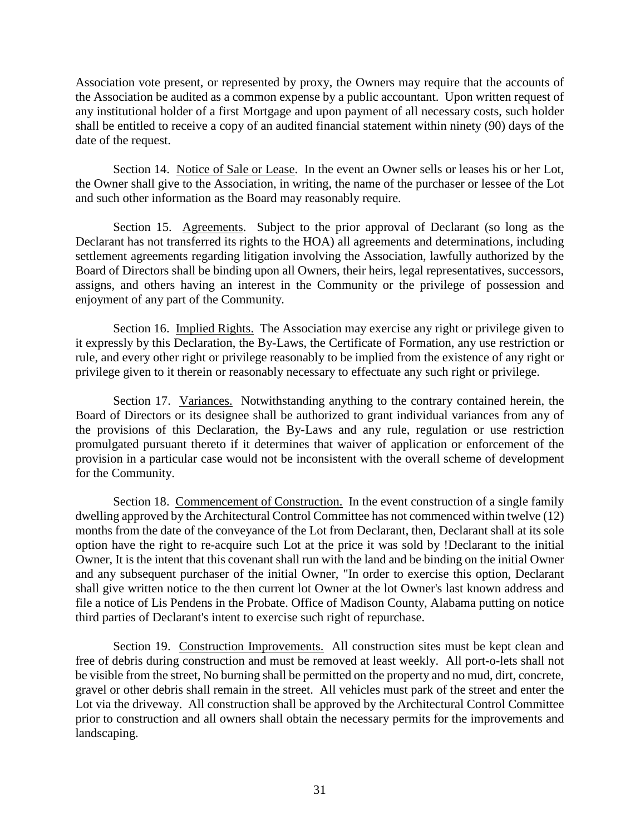Association vote present, or represented by proxy, the Owners may require that the accounts of the Association be audited as a common expense by a public accountant. Upon written request of any institutional holder of a first Mortgage and upon payment of all necessary costs, such holder shall be entitled to receive a copy of an audited financial statement within ninety (90) days of the date of the request.

Section 14. Notice of Sale or Lease. In the event an Owner sells or leases his or her Lot, the Owner shall give to the Association, in writing, the name of the purchaser or lessee of the Lot and such other information as the Board may reasonably require.

Section 15. Agreements. Subject to the prior approval of Declarant (so long as the Declarant has not transferred its rights to the HOA) all agreements and determinations, including settlement agreements regarding litigation involving the Association, lawfully authorized by the Board of Directors shall be binding upon all Owners, their heirs, legal representatives, successors, assigns, and others having an interest in the Community or the privilege of possession and enjoyment of any part of the Community.

Section 16. Implied Rights. The Association may exercise any right or privilege given to it expressly by this Declaration, the By-Laws, the Certificate of Formation, any use restriction or rule, and every other right or privilege reasonably to be implied from the existence of any right or privilege given to it therein or reasonably necessary to effectuate any such right or privilege.

Section 17. Variances. Notwithstanding anything to the contrary contained herein, the Board of Directors or its designee shall be authorized to grant individual variances from any of the provisions of this Declaration, the By-Laws and any rule, regulation or use restriction promulgated pursuant thereto if it determines that waiver of application or enforcement of the provision in a particular case would not be inconsistent with the overall scheme of development for the Community.

Section 18. Commencement of Construction. In the event construction of a single family dwelling approved by the Architectural Control Committee has not commenced within twelve (12) months from the date of the conveyance of the Lot from Declarant, then, Declarant shall at its sole option have the right to re-acquire such Lot at the price it was sold by !Declarant to the initial Owner, It is the intent that this covenant shall run with the land and be binding on the initial Owner and any subsequent purchaser of the initial Owner, "In order to exercise this option, Declarant shall give written notice to the then current lot Owner at the lot Owner's last known address and file a notice of Lis Pendens in the Probate. Office of Madison County, Alabama putting on notice third parties of Declarant's intent to exercise such right of repurchase.

Section 19. Construction Improvements. All construction sites must be kept clean and free of debris during construction and must be removed at least weekly. All port-o-lets shall not be visible from the street, No burning shall be permitted on the property and no mud, dirt, concrete, gravel or other debris shall remain in the street. All vehicles must park of the street and enter the Lot via the driveway. All construction shall be approved by the Architectural Control Committee prior to construction and all owners shall obtain the necessary permits for the improvements and landscaping.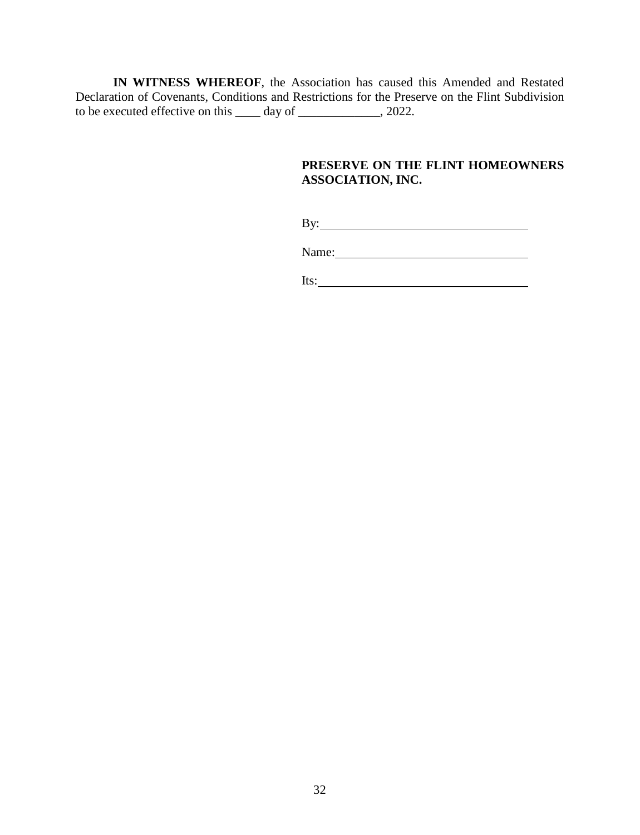**IN WITNESS WHEREOF**, the Association has caused this Amended and Restated Declaration of Covenants, Conditions and Restrictions for the Preserve on the Flint Subdivision to be executed effective on this \_\_\_\_ day of \_\_\_\_\_\_\_\_\_\_\_\_\_, 2022.

# **PRESERVE ON THE FLINT HOMEOWNERS ASSOCIATION, INC.**

By:

Name:

Its: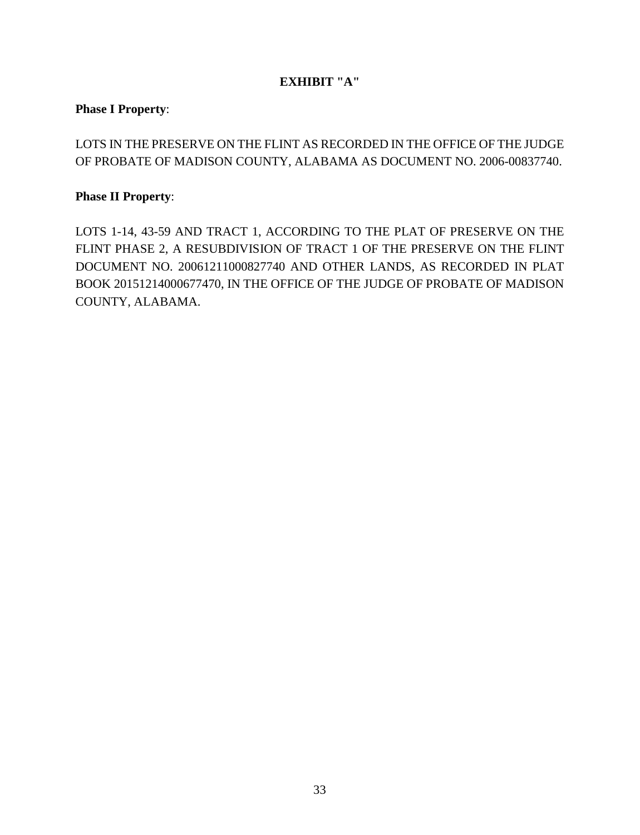# **EXHIBIT "A"**

# **Phase I Property**:

LOTS IN THE PRESERVE ON THE FLINT AS RECORDED IN THE OFFICE OF THE JUDGE OF PROBATE OF MADISON COUNTY, ALABAMA AS DOCUMENT NO. 2006-00837740.

# **Phase II Property**:

LOTS 1-14, 43-59 AND TRACT 1, ACCORDING TO THE PLAT OF PRESERVE ON THE FLINT PHASE 2, A RESUBDIVISION OF TRACT 1 OF THE PRESERVE ON THE FLINT DOCUMENT NO. 20061211000827740 AND OTHER LANDS, AS RECORDED IN PLAT BOOK 20151214000677470, IN THE OFFICE OF THE JUDGE OF PROBATE OF MADISON COUNTY, ALABAMA.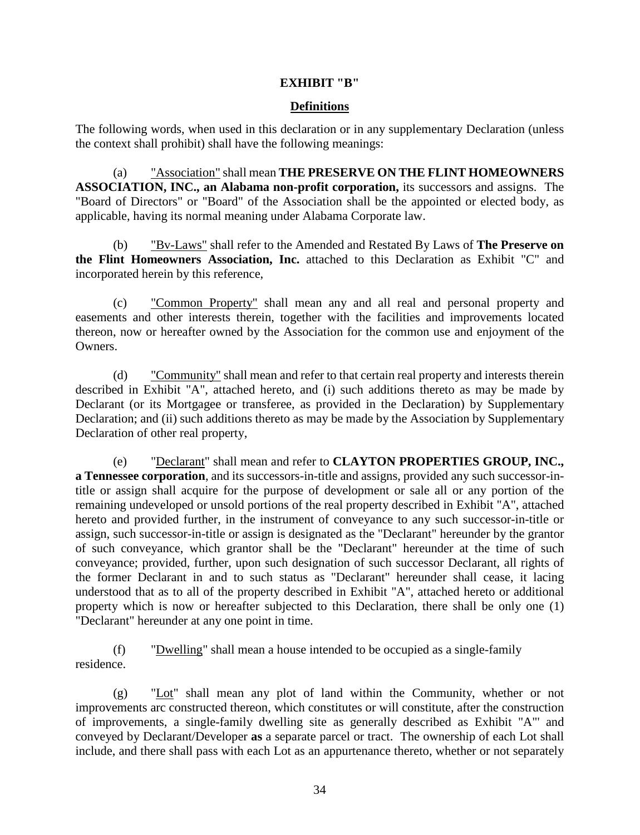# **EXHIBIT "B"**

# **Definitions**

The following words, when used in this declaration or in any supplementary Declaration (unless the context shall prohibit) shall have the following meanings:

(a) "Association" shall mean **THE PRESERVE ON THE FLINT HOMEOWNERS ASSOCIATION, INC., an Alabama non-profit corporation,** its successors and assigns. The "Board of Directors" or "Board" of the Association shall be the appointed or elected body, as applicable, having its normal meaning under Alabama Corporate law.

(b) "Bv-Laws" shall refer to the Amended and Restated By Laws of **The Preserve on the Flint Homeowners Association, Inc.** attached to this Declaration as Exhibit "C" and incorporated herein by this reference,

(c) "Common Property" shall mean any and all real and personal property and easements and other interests therein, together with the facilities and improvements located thereon, now or hereafter owned by the Association for the common use and enjoyment of the **Owners** 

(d) "Community" shall mean and refer to that certain real property and interests therein described in Exhibit "A", attached hereto, and (i) such additions thereto as may be made by Declarant (or its Mortgagee or transferee, as provided in the Declaration) by Supplementary Declaration; and (ii) such additions thereto as may be made by the Association by Supplementary Declaration of other real property,

(e) "Declarant" shall mean and refer to **CLAYTON PROPERTIES GROUP, INC., a Tennessee corporation**, and its successors-in-title and assigns, provided any such successor-intitle or assign shall acquire for the purpose of development or sale all or any portion of the remaining undeveloped or unsold portions of the real property described in Exhibit "A", attached hereto and provided further, in the instrument of conveyance to any such successor-in-title or assign, such successor-in-title or assign is designated as the "Declarant" hereunder by the grantor of such conveyance, which grantor shall be the "Declarant" hereunder at the time of such conveyance; provided, further, upon such designation of such successor Declarant, all rights of the former Declarant in and to such status as "Declarant" hereunder shall cease, it lacing understood that as to all of the property described in Exhibit "A", attached hereto or additional property which is now or hereafter subjected to this Declaration, there shall be only one (1) "Declarant" hereunder at any one point in time.

(f) "Dwelling" shall mean a house intended to be occupied as a single-family residence.

(g) "Lot" shall mean any plot of land within the Community, whether or not improvements arc constructed thereon, which constitutes or will constitute, after the construction of improvements, a single-family dwelling site as generally described as Exhibit "A"' and conveyed by Declarant/Developer **as** a separate parcel or tract. The ownership of each Lot shall include, and there shall pass with each Lot as an appurtenance thereto, whether or not separately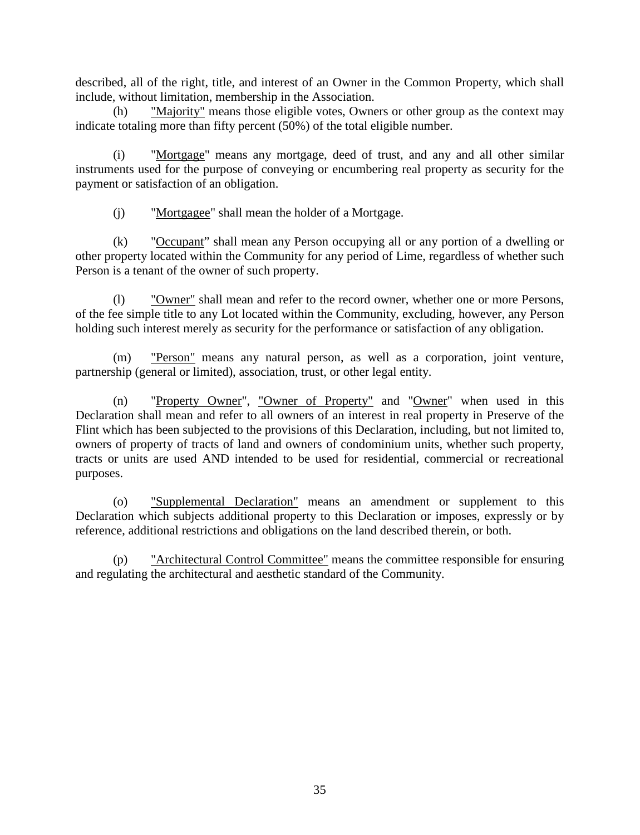described, all of the right, title, and interest of an Owner in the Common Property, which shall include, without limitation, membership in the Association.

(h) "Majority" means those eligible votes, Owners or other group as the context may indicate totaling more than fifty percent (50%) of the total eligible number.

(i) "Mortgage" means any mortgage, deed of trust, and any and all other similar instruments used for the purpose of conveying or encumbering real property as security for the payment or satisfaction of an obligation.

(j) "Mortgagee" shall mean the holder of a Mortgage.

(k) "Occupant" shall mean any Person occupying all or any portion of a dwelling or other property located within the Community for any period of Lime, regardless of whether such Person is a tenant of the owner of such property.

(l) "Owner" shall mean and refer to the record owner, whether one or more Persons, of the fee simple title to any Lot located within the Community, excluding, however, any Person holding such interest merely as security for the performance or satisfaction of any obligation.

(m) "Person" means any natural person, as well as a corporation, joint venture, partnership (general or limited), association, trust, or other legal entity.

(n) "Property Owner", "Owner of Property" and "Owner" when used in this Declaration shall mean and refer to all owners of an interest in real property in Preserve of the Flint which has been subjected to the provisions of this Declaration, including, but not limited to, owners of property of tracts of land and owners of condominium units, whether such property, tracts or units are used AND intended to be used for residential, commercial or recreational purposes.

(o) "Supplemental Declaration" means an amendment or supplement to this Declaration which subjects additional property to this Declaration or imposes, expressly or by reference, additional restrictions and obligations on the land described therein, or both.

(p) "Architectural Control Committee" means the committee responsible for ensuring and regulating the architectural and aesthetic standard of the Community.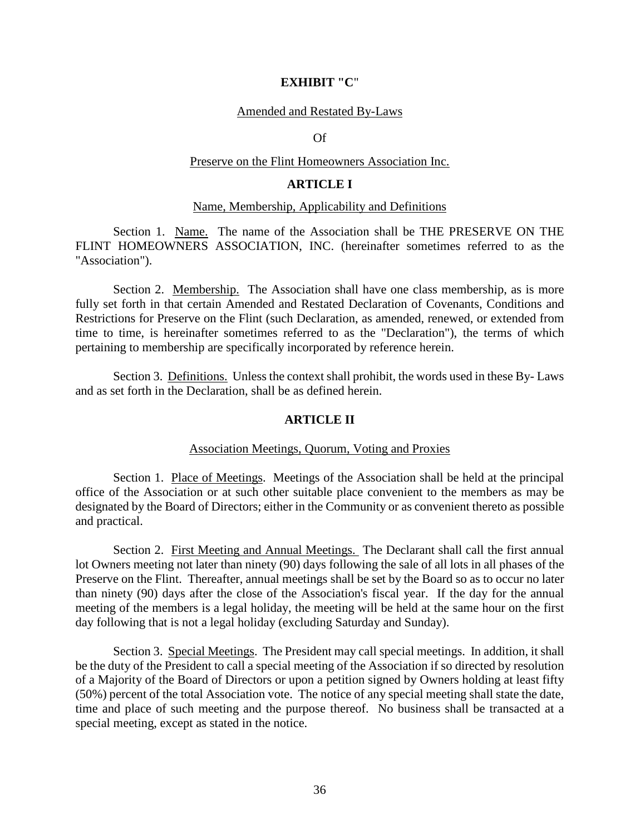#### **EXHIBIT "C**"

#### Amended and Restated By-Laws

Of

#### Preserve on the Flint Homeowners Association Inc.

# **ARTICLE I**

#### Name, Membership, Applicability and Definitions

Section 1. Name. The name of the Association shall be THE PRESERVE ON THE FLINT HOMEOWNERS ASSOCIATION, INC. (hereinafter sometimes referred to as the "Association").

Section 2. Membership. The Association shall have one class membership, as is more fully set forth in that certain Amended and Restated Declaration of Covenants, Conditions and Restrictions for Preserve on the Flint (such Declaration, as amended, renewed, or extended from time to time, is hereinafter sometimes referred to as the "Declaration"), the terms of which pertaining to membership are specifically incorporated by reference herein.

Section 3. Definitions. Unless the context shall prohibit, the words used in these By- Laws and as set forth in the Declaration, shall be as defined herein.

## **ARTICLE II**

#### Association Meetings, Quorum, Voting and Proxies

Section 1. Place of Meetings. Meetings of the Association shall be held at the principal office of the Association or at such other suitable place convenient to the members as may be designated by the Board of Directors; either in the Community or as convenient thereto as possible and practical.

Section 2. First Meeting and Annual Meetings. The Declarant shall call the first annual lot Owners meeting not later than ninety (90) days following the sale of all lots in all phases of the Preserve on the Flint. Thereafter, annual meetings shall be set by the Board so as to occur no later than ninety (90) days after the close of the Association's fiscal year. If the day for the annual meeting of the members is a legal holiday, the meeting will be held at the same hour on the first day following that is not a legal holiday (excluding Saturday and Sunday).

Section 3. Special Meetings. The President may call special meetings. In addition, it shall be the duty of the President to call a special meeting of the Association if so directed by resolution of a Majority of the Board of Directors or upon a petition signed by Owners holding at least fifty (50%) percent of the total Association vote. The notice of any special meeting shall state the date, time and place of such meeting and the purpose thereof. No business shall be transacted at a special meeting, except as stated in the notice.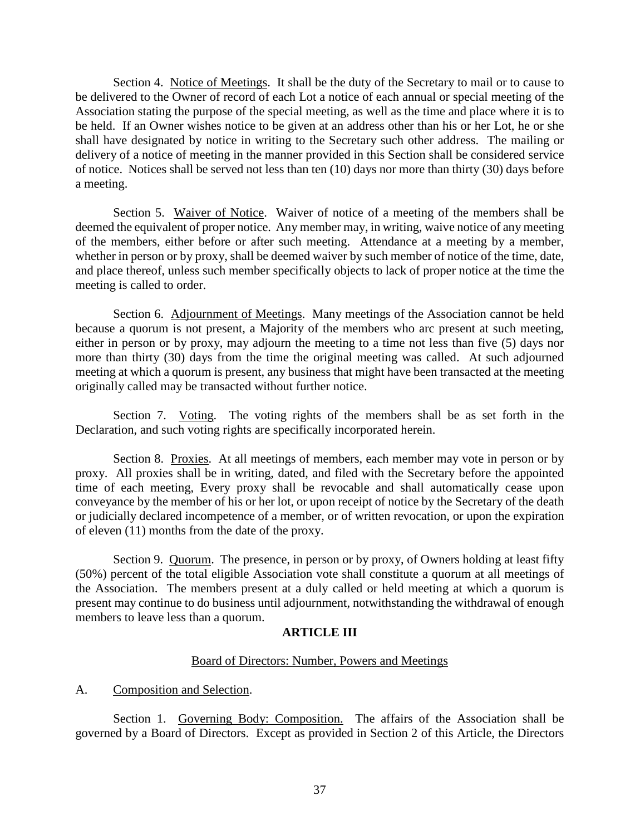Section 4. Notice of Meetings. It shall be the duty of the Secretary to mail or to cause to be delivered to the Owner of record of each Lot a notice of each annual or special meeting of the Association stating the purpose of the special meeting, as well as the time and place where it is to be held. If an Owner wishes notice to be given at an address other than his or her Lot, he or she shall have designated by notice in writing to the Secretary such other address. The mailing or delivery of a notice of meeting in the manner provided in this Section shall be considered service of notice. Notices shall be served not less than ten (10) days nor more than thirty (30) days before a meeting.

Section 5. Waiver of Notice. Waiver of notice of a meeting of the members shall be deemed the equivalent of proper notice. Any member may, in writing, waive notice of any meeting of the members, either before or after such meeting. Attendance at a meeting by a member, whether in person or by proxy, shall be deemed waiver by such member of notice of the time, date, and place thereof, unless such member specifically objects to lack of proper notice at the time the meeting is called to order.

Section 6. Adjournment of Meetings. Many meetings of the Association cannot be held because a quorum is not present, a Majority of the members who arc present at such meeting, either in person or by proxy, may adjourn the meeting to a time not less than five (5) days nor more than thirty (30) days from the time the original meeting was called. At such adjourned meeting at which a quorum is present, any business that might have been transacted at the meeting originally called may be transacted without further notice.

Section 7. Voting. The voting rights of the members shall be as set forth in the Declaration, and such voting rights are specifically incorporated herein.

Section 8. Proxies. At all meetings of members, each member may vote in person or by proxy. All proxies shall be in writing, dated, and filed with the Secretary before the appointed time of each meeting, Every proxy shall be revocable and shall automatically cease upon conveyance by the member of his or her lot, or upon receipt of notice by the Secretary of the death or judicially declared incompetence of a member, or of written revocation, or upon the expiration of eleven (11) months from the date of the proxy.

Section 9. Quorum. The presence, in person or by proxy, of Owners holding at least fifty (50%) percent of the total eligible Association vote shall constitute a quorum at all meetings of the Association. The members present at a duly called or held meeting at which a quorum is present may continue to do business until adjournment, notwithstanding the withdrawal of enough members to leave less than a quorum.

# **ARTICLE III**

# Board of Directors: Number, Powers and Meetings

A. Composition and Selection.

Section 1. Governing Body: Composition. The affairs of the Association shall be governed by a Board of Directors. Except as provided in Section 2 of this Article, the Directors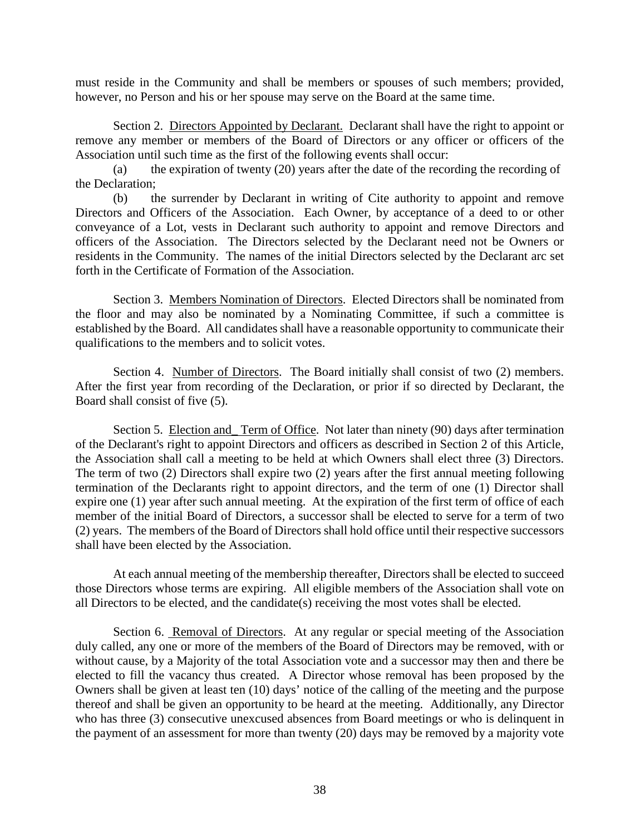must reside in the Community and shall be members or spouses of such members; provided, however, no Person and his or her spouse may serve on the Board at the same time.

Section 2. Directors Appointed by Declarant. Declarant shall have the right to appoint or remove any member or members of the Board of Directors or any officer or officers of the Association until such time as the first of the following events shall occur:

(a) the expiration of twenty (20) years after the date of the recording the recording of the Declaration;

(b) the surrender by Declarant in writing of Cite authority to appoint and remove Directors and Officers of the Association. Each Owner, by acceptance of a deed to or other conveyance of a Lot, vests in Declarant such authority to appoint and remove Directors and officers of the Association. The Directors selected by the Declarant need not be Owners or residents in the Community. The names of the initial Directors selected by the Declarant arc set forth in the Certificate of Formation of the Association.

Section 3. Members Nomination of Directors. Elected Directors shall be nominated from the floor and may also be nominated by a Nominating Committee, if such a committee is established by the Board. All candidates shall have a reasonable opportunity to communicate their qualifications to the members and to solicit votes.

Section 4. Number of Directors. The Board initially shall consist of two (2) members. After the first year from recording of the Declaration, or prior if so directed by Declarant, the Board shall consist of five (5).

Section 5. Election and\_ Term of Office. Not later than ninety (90) days after termination of the Declarant's right to appoint Directors and officers as described in Section 2 of this Article, the Association shall call a meeting to be held at which Owners shall elect three (3) Directors. The term of two (2) Directors shall expire two (2) years after the first annual meeting following termination of the Declarants right to appoint directors, and the term of one (1) Director shall expire one (1) year after such annual meeting. At the expiration of the first term of office of each member of the initial Board of Directors, a successor shall be elected to serve for a term of two (2) years. The members of the Board of Directors shall hold office until their respective successors shall have been elected by the Association.

At each annual meeting of the membership thereafter, Directors shall be elected to succeed those Directors whose terms are expiring. All eligible members of the Association shall vote on all Directors to be elected, and the candidate(s) receiving the most votes shall be elected.

Section 6. Removal of Directors. At any regular or special meeting of the Association duly called, any one or more of the members of the Board of Directors may be removed, with or without cause, by a Majority of the total Association vote and a successor may then and there be elected to fill the vacancy thus created. A Director whose removal has been proposed by the Owners shall be given at least ten (10) days' notice of the calling of the meeting and the purpose thereof and shall be given an opportunity to be heard at the meeting. Additionally, any Director who has three (3) consecutive unexcused absences from Board meetings or who is delinquent in the payment of an assessment for more than twenty (20) days may be removed by a majority vote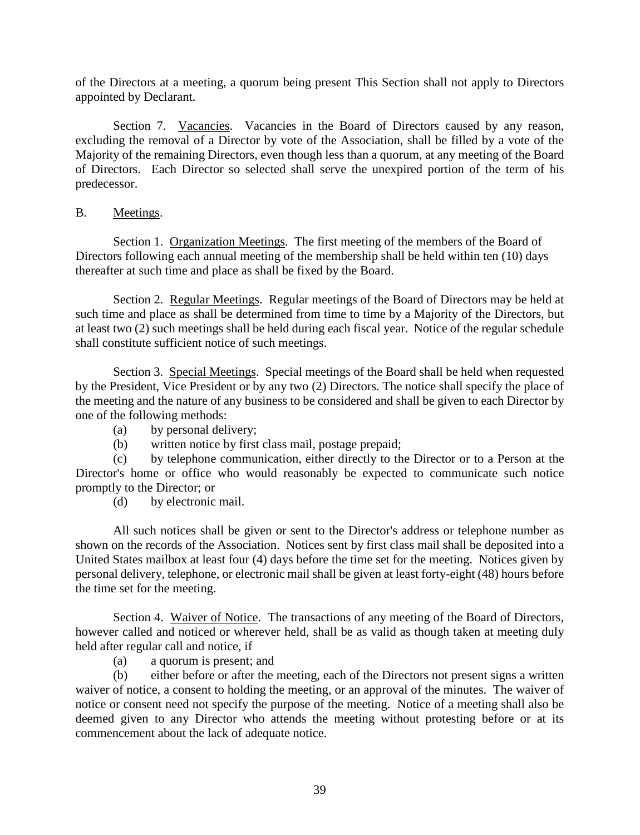of the Directors at a meeting, a quorum being present This Section shall not apply to Directors appointed by Declarant.

Section 7. Vacancies. Vacancies in the Board of Directors caused by any reason, excluding the removal of a Director by vote of the Association, shall be filled by a vote of the Majority of the remaining Directors, even though less than a quorum, at any meeting of the Board of Directors. Each Director so selected shall serve the unexpired portion of the term of his predecessor.

# B. Meetings.

Section 1. Organization Meetings. The first meeting of the members of the Board of Directors following each annual meeting of the membership shall be held within ten (10) days thereafter at such time and place as shall be fixed by the Board.

Section 2. Regular Meetings. Regular meetings of the Board of Directors may be held at such time and place as shall be determined from time to time by a Majority of the Directors, but at least two (2) such meetings shall be held during each fiscal year. Notice of the regular schedule shall constitute sufficient notice of such meetings.

Section 3. Special Meetings. Special meetings of the Board shall be held when requested by the President, Vice President or by any two (2) Directors. The notice shall specify the place of the meeting and the nature of any business to be considered and shall be given to each Director by one of the following methods:

- (a) by personal delivery;
- (b) written notice by first class mail, postage prepaid;

(c) by telephone communication, either directly to the Director or to a Person at the Director's home or office who would reasonably be expected to communicate such notice promptly to the Director; or

(d) by electronic mail.

All such notices shall be given or sent to the Director's address or telephone number as shown on the records of the Association. Notices sent by first class mail shall be deposited into a United States mailbox at least four (4) days before the time set for the meeting. Notices given by personal delivery, telephone, or electronic mail shall be given at least forty-eight (48) hours before the time set for the meeting.

Section 4. Waiver of Notice. The transactions of any meeting of the Board of Directors, however called and noticed or wherever held, shall be as valid as though taken at meeting duly held after regular call and notice, if

(a) a quorum is present; and

(b) either before or after the meeting, each of the Directors not present signs a written waiver of notice, a consent to holding the meeting, or an approval of the minutes. The waiver of notice or consent need not specify the purpose of the meeting. Notice of a meeting shall also be deemed given to any Director who attends the meeting without protesting before or at its commencement about the lack of adequate notice.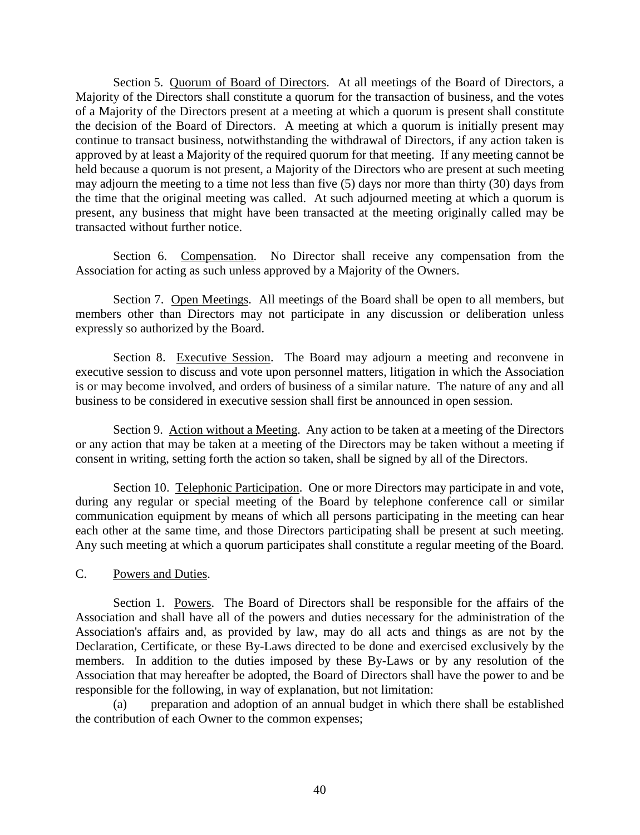Section 5. Quorum of Board of Directors. At all meetings of the Board of Directors, a Majority of the Directors shall constitute a quorum for the transaction of business, and the votes of a Majority of the Directors present at a meeting at which a quorum is present shall constitute the decision of the Board of Directors. A meeting at which a quorum is initially present may continue to transact business, notwithstanding the withdrawal of Directors, if any action taken is approved by at least a Majority of the required quorum for that meeting. If any meeting cannot be held because a quorum is not present, a Majority of the Directors who are present at such meeting may adjourn the meeting to a time not less than five (5) days nor more than thirty (30) days from the time that the original meeting was called. At such adjourned meeting at which a quorum is present, any business that might have been transacted at the meeting originally called may be transacted without further notice.

Section 6. Compensation. No Director shall receive any compensation from the Association for acting as such unless approved by a Majority of the Owners.

Section 7. Open Meetings. All meetings of the Board shall be open to all members, but members other than Directors may not participate in any discussion or deliberation unless expressly so authorized by the Board.

Section 8. Executive Session. The Board may adjourn a meeting and reconvene in executive session to discuss and vote upon personnel matters, litigation in which the Association is or may become involved, and orders of business of a similar nature. The nature of any and all business to be considered in executive session shall first be announced in open session.

Section 9. Action without a Meeting. Any action to be taken at a meeting of the Directors or any action that may be taken at a meeting of the Directors may be taken without a meeting if consent in writing, setting forth the action so taken, shall be signed by all of the Directors.

Section 10. Telephonic Participation. One or more Directors may participate in and vote, during any regular or special meeting of the Board by telephone conference call or similar communication equipment by means of which all persons participating in the meeting can hear each other at the same time, and those Directors participating shall be present at such meeting. Any such meeting at which a quorum participates shall constitute a regular meeting of the Board.

# C. Powers and Duties.

Section 1. Powers. The Board of Directors shall be responsible for the affairs of the Association and shall have all of the powers and duties necessary for the administration of the Association's affairs and, as provided by law, may do all acts and things as are not by the Declaration, Certificate, or these By-Laws directed to be done and exercised exclusively by the members. In addition to the duties imposed by these By-Laws or by any resolution of the Association that may hereafter be adopted, the Board of Directors shall have the power to and be responsible for the following, in way of explanation, but not limitation:

preparation and adoption of an annual budget in which there shall be established the contribution of each Owner to the common expenses;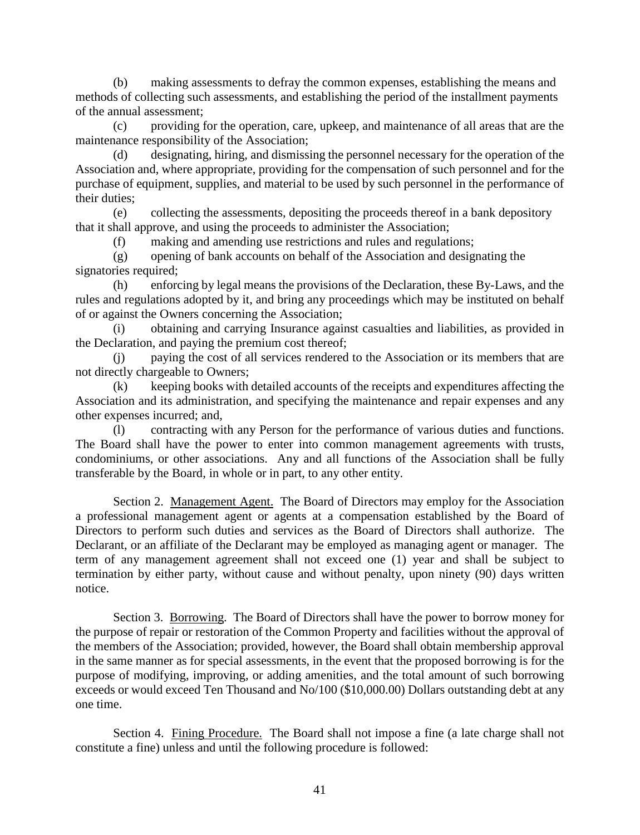(b) making assessments to defray the common expenses, establishing the means and methods of collecting such assessments, and establishing the period of the installment payments of the annual assessment;

(c) providing for the operation, care, upkeep, and maintenance of all areas that are the maintenance responsibility of the Association;

(d) designating, hiring, and dismissing the personnel necessary for the operation of the Association and, where appropriate, providing for the compensation of such personnel and for the purchase of equipment, supplies, and material to be used by such personnel in the performance of their duties;

(e) collecting the assessments, depositing the proceeds thereof in a bank depository that it shall approve, and using the proceeds to administer the Association;

(f) making and amending use restrictions and rules and regulations;

(g) opening of bank accounts on behalf of the Association and designating the signatories required;

(h) enforcing by legal means the provisions of the Declaration, these By-Laws, and the rules and regulations adopted by it, and bring any proceedings which may be instituted on behalf of or against the Owners concerning the Association;

(i) obtaining and carrying Insurance against casualties and liabilities, as provided in the Declaration, and paying the premium cost thereof;

(j) paying the cost of all services rendered to the Association or its members that are not directly chargeable to Owners;

(k) keeping books with detailed accounts of the receipts and expenditures affecting the Association and its administration, and specifying the maintenance and repair expenses and any other expenses incurred; and,

(l) contracting with any Person for the performance of various duties and functions. The Board shall have the power to enter into common management agreements with trusts, condominiums, or other associations. Any and all functions of the Association shall be fully transferable by the Board, in whole or in part, to any other entity.

Section 2. Management Agent. The Board of Directors may employ for the Association a professional management agent or agents at a compensation established by the Board of Directors to perform such duties and services as the Board of Directors shall authorize. The Declarant, or an affiliate of the Declarant may be employed as managing agent or manager. The term of any management agreement shall not exceed one (1) year and shall be subject to termination by either party, without cause and without penalty, upon ninety (90) days written notice.

Section 3. Borrowing. The Board of Directors shall have the power to borrow money for the purpose of repair or restoration of the Common Property and facilities without the approval of the members of the Association; provided, however, the Board shall obtain membership approval in the same manner as for special assessments, in the event that the proposed borrowing is for the purpose of modifying, improving, or adding amenities, and the total amount of such borrowing exceeds or would exceed Ten Thousand and No/100 (\$10,000.00) Dollars outstanding debt at any one time.

Section 4. Fining Procedure. The Board shall not impose a fine (a late charge shall not constitute a fine) unless and until the following procedure is followed: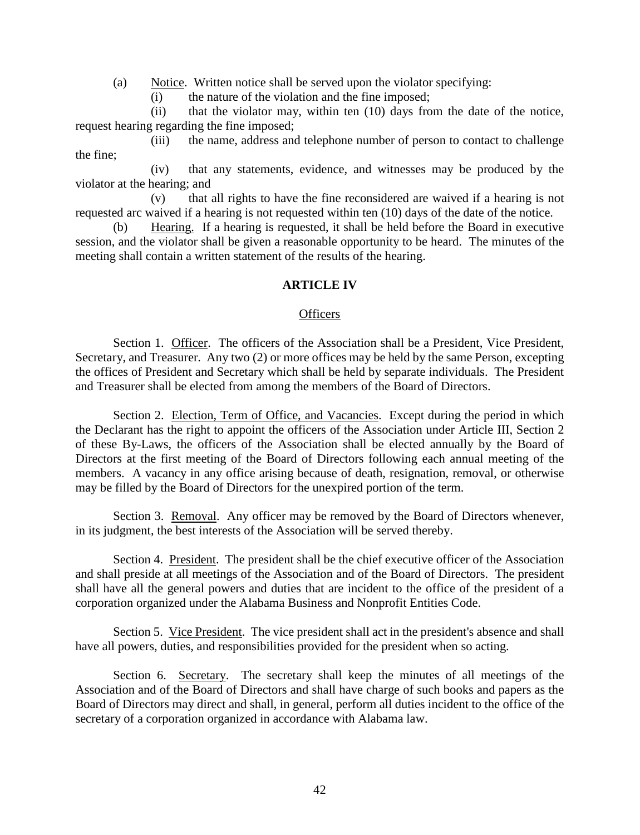(a) Notice. Written notice shall be served upon the violator specifying:

(i) the nature of the violation and the fine imposed;

(ii) that the violator may, within ten (10) days from the date of the notice, request hearing regarding the fine imposed;

(iii) the name, address and telephone number of person to contact to challenge the fine;

(iv) that any statements, evidence, and witnesses may be produced by the violator at the hearing; and

(v) that all rights to have the fine reconsidered are waived if a hearing is not requested arc waived if a hearing is not requested within ten (10) days of the date of the notice.

(b) Hearing. If a hearing is requested, it shall be held before the Board in executive session, and the violator shall be given a reasonable opportunity to be heard. The minutes of the meeting shall contain a written statement of the results of the hearing.

# **ARTICLE IV**

#### **Officers**

Section 1. Officer. The officers of the Association shall be a President, Vice President, Secretary, and Treasurer. Any two (2) or more offices may be held by the same Person, excepting the offices of President and Secretary which shall be held by separate individuals. The President and Treasurer shall be elected from among the members of the Board of Directors.

Section 2. Election, Term of Office, and Vacancies. Except during the period in which the Declarant has the right to appoint the officers of the Association under Article III, Section 2 of these By-Laws, the officers of the Association shall be elected annually by the Board of Directors at the first meeting of the Board of Directors following each annual meeting of the members. A vacancy in any office arising because of death, resignation, removal, or otherwise may be filled by the Board of Directors for the unexpired portion of the term.

Section 3. Removal. Any officer may be removed by the Board of Directors whenever, in its judgment, the best interests of the Association will be served thereby.

Section 4. President. The president shall be the chief executive officer of the Association and shall preside at all meetings of the Association and of the Board of Directors. The president shall have all the general powers and duties that are incident to the office of the president of a corporation organized under the Alabama Business and Nonprofit Entities Code.

Section 5. Vice President. The vice president shall act in the president's absence and shall have all powers, duties, and responsibilities provided for the president when so acting.

Section 6. Secretary. The secretary shall keep the minutes of all meetings of the Association and of the Board of Directors and shall have charge of such books and papers as the Board of Directors may direct and shall, in general, perform all duties incident to the office of the secretary of a corporation organized in accordance with Alabama law.